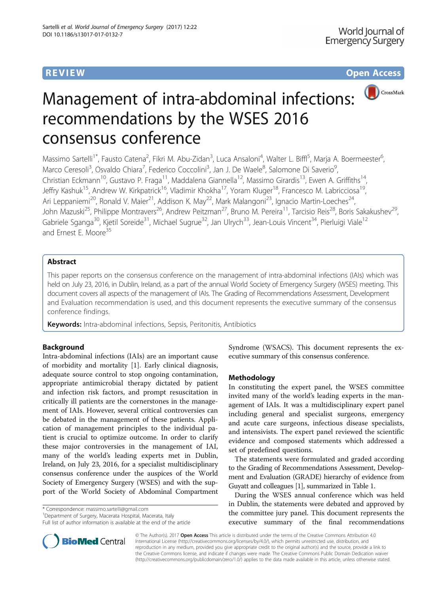**REVIEW CONSTRUCTION CONSTRUCTION CONSTRUCTS** 



# Management of intra-abdominal infections: recommendations by the WSES 2016 consensus conference

Massimo Sartelli<sup>1\*</sup>, Fausto Catena<sup>2</sup>, Fikri M. Abu-Zidan<sup>3</sup>, Luca Ansaloni<sup>4</sup>, Walter L. Biffl<sup>5</sup>, Marja A. Boermeester<sup>6</sup> , Marco Ceresoli<sup>3</sup>, Osvaldo Chiara<sup>7</sup>, Federico Coccolini<sup>3</sup>, Jan J. De Waele<sup>8</sup>, Salomone Di Saverio<sup>9</sup> , Christian Eckmann<sup>10</sup>, Gustavo P. Fraga<sup>11</sup>, Maddalena Giannella<sup>12</sup>, Massimo Girardis<sup>13</sup>, Ewen A. Griffiths<sup>14</sup>, Jeffry Kashuk<sup>15</sup>, Andrew W. Kirkpatrick<sup>16</sup>, Vladimir Khokha<sup>17</sup>, Yoram Kluger<sup>18</sup>, Francesco M. Labricciosa<sup>19</sup>, Ari Leppaniemi<sup>20</sup>, Ronald V. Maier<sup>21</sup>, Addison K. May<sup>22</sup>, Mark Malangoni<sup>23</sup>, Ignacio Martin-Loeches<sup>24</sup>, John Mazuski<sup>25</sup>, Philippe Montravers<sup>26</sup>, Andrew Peitzman<sup>27</sup>, Bruno M. Pereira<sup>11</sup>, Tarcisio Reis<sup>28</sup>, Boris Sakakushev<sup>29</sup>, Gabriele Sganga<sup>30</sup>, Kjetil Soreide<sup>31</sup>, Michael Sugrue<sup>32</sup>, Jan Ulrych<sup>33</sup>, Jean-Louis Vincent<sup>34</sup>, Pierluigi Viale<sup>12</sup> and Ernest E. Moore<sup>35</sup>

# Abstract

This paper reports on the consensus conference on the management of intra-abdominal infections (IAIs) which was held on July 23, 2016, in Dublin, Ireland, as a part of the annual World Society of Emergency Surgery (WSES) meeting. This document covers all aspects of the management of IAIs. The Grading of Recommendations Assessment, Development and Evaluation recommendation is used, and this document represents the executive summary of the consensus conference findings.

Keywords: Intra-abdominal infections, Sepsis, Peritonitis, Antibiotics

# Background

Intra-abdominal infections (IAIs) are an important cause of morbidity and mortality [[1\]](#page-23-0). Early clinical diagnosis, adequate source control to stop ongoing contamination, appropriate antimicrobial therapy dictated by patient and infection risk factors, and prompt resuscitation in critically ill patients are the cornerstones in the management of IAIs. However, several critical controversies can be debated in the management of these patients. Application of management principles to the individual patient is crucial to optimize outcome. In order to clarify these major controversies in the management of IAI, many of the world's leading experts met in Dublin, Ireland, on July 23, 2016, for a specialist multidisciplinary consensus conference under the auspices of the World Society of Emergency Surgery (WSES) and with the support of the World Society of Abdominal Compartment

\* Correspondence: [massimo.sartelli@gmail.com](mailto:massimo.sartelli@gmail.com) <sup>1</sup>

<sup>1</sup> Department of Surgery, Macerata Hospital, Macerata, Italy Full list of author information is available at the end of the article



# Methodology

In constituting the expert panel, the WSES committee invited many of the world's leading experts in the management of IAIs. It was a multidisciplinary expert panel including general and specialist surgeons, emergency and acute care surgeons, infectious disease specialists, and intensivists. The expert panel reviewed the scientific evidence and composed statements which addressed a set of predefined questions.

The statements were formulated and graded according to the Grading of Recommendations Assessment, Development and Evaluation (GRADE) hierarchy of evidence from Guyatt and colleagues [\[1](#page-23-0)], summarized in Table [1](#page-1-0).

During the WSES annual conference which was held in Dublin, the statements were debated and approved by the committee jury panel. This document represents the executive summary of the final recommendations



© The Author(s). 2017 Open Access This article is distributed under the terms of the Creative Commons Attribution 4.0 International License [\(http://creativecommons.org/licenses/by/4.0/](http://creativecommons.org/licenses/by/4.0/)), which permits unrestricted use, distribution, and reproduction in any medium, provided you give appropriate credit to the original author(s) and the source, provide a link to the Creative Commons license, and indicate if changes were made. The Creative Commons Public Domain Dedication waiver [\(http://creativecommons.org/publicdomain/zero/1.0/](http://creativecommons.org/publicdomain/zero/1.0/)) applies to the data made available in this article, unless otherwise stated.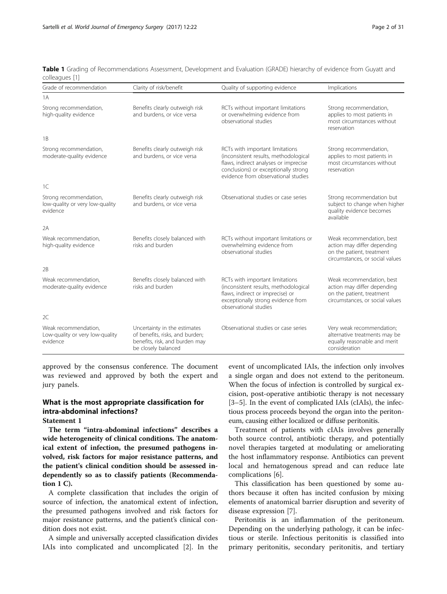| Grade of recommendation                                               | Clarity of risk/benefit                                                                                                  | Quality of supporting evidence                                                                                                                                                                   | Implications                                                                                                             |
|-----------------------------------------------------------------------|--------------------------------------------------------------------------------------------------------------------------|--------------------------------------------------------------------------------------------------------------------------------------------------------------------------------------------------|--------------------------------------------------------------------------------------------------------------------------|
| 1A                                                                    |                                                                                                                          |                                                                                                                                                                                                  |                                                                                                                          |
| Strong recommendation,<br>high-quality evidence                       | Benefits clearly outweigh risk<br>and burdens, or vice versa                                                             | RCTs without important limitations<br>or overwhelming evidence from<br>observational studies                                                                                                     | Strong recommendation,<br>applies to most patients in<br>most circumstances without<br>reservation                       |
| 1B                                                                    |                                                                                                                          |                                                                                                                                                                                                  |                                                                                                                          |
| Strong recommendation,<br>moderate-quality evidence                   | Benefits clearly outweigh risk<br>and burdens, or vice versa                                                             | RCTs with important limitations<br>(inconsistent results, methodological<br>flaws, indirect analyses or imprecise<br>conclusions) or exceptionally strong<br>evidence from observational studies | Strong recommendation,<br>applies to most patients in<br>most circumstances without<br>reservation                       |
| 1C                                                                    |                                                                                                                          |                                                                                                                                                                                                  |                                                                                                                          |
| Strong recommendation,<br>low-quality or very low-quality<br>evidence | Benefits clearly outweigh risk<br>and burdens, or vice versa                                                             | Observational studies or case series                                                                                                                                                             | Strong recommendation but<br>subject to change when higher<br>quality evidence becomes<br>available                      |
| 2A                                                                    |                                                                                                                          |                                                                                                                                                                                                  |                                                                                                                          |
| Weak recommendation,<br>high-quality evidence                         | Benefits closely balanced with<br>risks and burden                                                                       | RCTs without important limitations or<br>overwhelming evidence from<br>observational studies                                                                                                     | Weak recommendation, best<br>action may differ depending<br>on the patient, treatment<br>circumstances, or social values |
| 2B                                                                    |                                                                                                                          |                                                                                                                                                                                                  |                                                                                                                          |
| Weak recommendation,<br>moderate-quality evidence                     | Benefits closely balanced with<br>risks and burden                                                                       | RCTs with important limitations<br>(inconsistent results, methodological<br>flaws, indirect or imprecise) or<br>exceptionally strong evidence from<br>observational studies                      | Weak recommendation, best<br>action may differ depending<br>on the patient, treatment<br>circumstances, or social values |
| 2C                                                                    |                                                                                                                          |                                                                                                                                                                                                  |                                                                                                                          |
| Weak recommendation.<br>Low-quality or very low-quality<br>evidence   | Uncertainty in the estimates<br>of benefits, risks, and burden;<br>benefits, risk, and burden may<br>be closely balanced | Observational studies or case series                                                                                                                                                             | Very weak recommendation;<br>alternative treatments may be<br>equally reasonable and merit<br>consideration              |

<span id="page-1-0"></span>Table 1 Grading of Recommendations Assessment, Development and Evaluation (GRADE) hierarchy of evidence from Guyatt and colleagues [[1\]](#page-23-0)

approved by the consensus conference. The document was reviewed and approved by both the expert and jury panels.

# What is the most appropriate classification for intra-abdominal infections?

#### Statement 1

The term "intra-abdominal infections" describes a wide heterogeneity of clinical conditions. The anatomical extent of infection, the presumed pathogens involved, risk factors for major resistance patterns, and the patient's clinical condition should be assessed independently so as to classify patients (Recommendation 1 C).

A complete classification that includes the origin of source of infection, the anatomical extent of infection, the presumed pathogens involved and risk factors for major resistance patterns, and the patient's clinical condition does not exist.

A simple and universally accepted classification divides IAIs into complicated and uncomplicated [\[2](#page-23-0)]. In the event of uncomplicated IAIs, the infection only involves a single organ and does not extend to the peritoneum. When the focus of infection is controlled by surgical excision, post-operative antibiotic therapy is not necessary [[3](#page-24-0)–[5\]](#page-24-0). In the event of complicated IAIs (cIAIs), the infectious process proceeds beyond the organ into the peritoneum, causing either localized or diffuse peritonitis.

Treatment of patients with cIAIs involves generally both source control, antibiotic therapy, and potentially novel therapies targeted at modulating or ameliorating the host inflammatory response. Antibiotics can prevent local and hematogenous spread and can reduce late complications [[6\]](#page-24-0).

This classification has been questioned by some authors because it often has incited confusion by mixing elements of anatomical barrier disruption and severity of disease expression [[7](#page-24-0)].

Peritonitis is an inflammation of the peritoneum. Depending on the underlying pathology, it can be infectious or sterile. Infectious peritonitis is classified into primary peritonitis, secondary peritonitis, and tertiary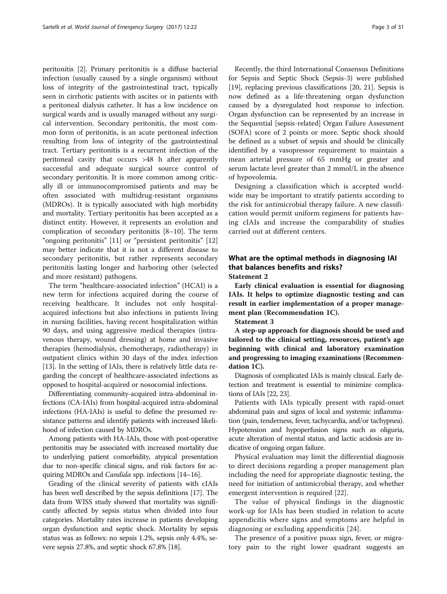peritonitis [\[2](#page-23-0)]. Primary peritonitis is a diffuse bacterial infection (usually caused by a single organism) without loss of integrity of the gastrointestinal tract, typically seen in cirrhotic patients with ascites or in patients with a peritoneal dialysis catheter. It has a low incidence on surgical wards and is usually managed without any surgical intervention. Secondary peritonitis, the most common form of peritonitis, is an acute peritoneal infection resulting from loss of integrity of the gastrointestinal tract. Tertiary peritonitis is a recurrent infection of the peritoneal cavity that occurs >48 h after apparently successful and adequate surgical source control of secondary peritonitis. It is more common among critically ill or immunocompromised patients and may be often associated with multidrug-resistant organisms (MDROs). It is typically associated with high morbidity and mortality. Tertiary peritonitis has been accepted as a distinct entity. However, it represents an evolution and complication of secondary peritonitis [\[8](#page-24-0)–[10](#page-24-0)]. The term "ongoing peritonitis" [\[11](#page-24-0)] or "persistent peritonitis" [[12](#page-24-0)] may better indicate that it is not a different disease to secondary peritonitis, but rather represents secondary peritonitis lasting longer and harboring other (selected and more resistant) pathogens.

The term "healthcare-associated infection" (HCAI) is a new term for infections acquired during the course of receiving healthcare. It includes not only hospitalacquired infections but also infections in patients living in nursing facilities, having recent hospitalization within 90 days, and using aggressive medical therapies (intravenous therapy, wound dressing) at home and invasive therapies (hemodialysis, chemotherapy, radiotherapy) in outpatient clinics within 30 days of the index infection [[13\]](#page-24-0). In the setting of IAIs, there is relatively little data regarding the concept of healthcare-associated infections as opposed to hospital-acquired or nosocomial infections.

Differentiating community-acquired intra-abdominal infections (CA-IAIs) from hospital-acquired intra-abdominal infections (HA-IAIs) is useful to define the presumed resistance patterns and identify patients with increased likelihood of infection caused by MDROs.

Among patients with HA-IAIs, those with post-operative peritonitis may be associated with increased mortality due to underlying patient comorbidity, atypical presentation due to non-specific clinical signs, and risk factors for acquiring MDROs and Candida spp. infections [\[14](#page-24-0)–[16\]](#page-24-0).

Grading of the clinical severity of patients with cIAIs has been well described by the sepsis definitions [[17](#page-24-0)]. The data from WISS study showed that mortality was significantly affected by sepsis status when divided into four categories. Mortality rates increase in patients developing organ dysfunction and septic shock. Mortality by sepsis status was as follows: no sepsis 1.2%, sepsis only 4.4%, severe sepsis 27.8%, and septic shock 67.8% [\[18\]](#page-24-0).

Recently, the third International Consensus Definitions for Sepsis and Septic Shock (Sepsis-3) were published [[19\]](#page-24-0), replacing previous classifications [\[20, 21\]](#page-24-0). Sepsis is now defined as a life-threatening organ dysfunction caused by a dysregulated host response to infection. Organ dysfunction can be represented by an increase in the Sequential [sepsis-related] Organ Failure Assessment (SOFA) score of 2 points or more. Septic shock should be defined as a subset of sepsis and should be clinically identified by a vasopressor requirement to maintain a mean arterial pressure of 65 mmHg or greater and serum lactate level greater than 2 mmol/L in the absence of hypovolemia.

Designing a classification which is accepted worldwide may be important to stratify patients according to the risk for antimicrobial therapy failure. A new classification would permit uniform regimens for patients having cIAIs and increase the comparability of studies carried out at different centers.

# What are the optimal methods in diagnosing IAI that balances benefits and risks? Statement 2

Early clinical evaluation is essential for diagnosing IAIs. It helps to optimize diagnostic testing and can result in earlier implementation of a proper management plan (Recommendation 1C).

Statement 3

A step-up approach for diagnosis should be used and tailored to the clinical setting, resources, patient's age beginning with clinical and laboratory examination and progressing to imaging examinations (Recommendation 1C).

Diagnosis of complicated IAIs is mainly clinical. Early detection and treatment is essential to minimize complications of IAIs [\[22](#page-24-0), [23](#page-24-0)].

Patients with IAIs typically present with rapid-onset abdominal pain and signs of local and systemic inflammation (pain, tenderness, fever, tachycardia, and/or tachypnea). Hypotension and hypoperfusion signs such as oliguria, acute alteration of mental status, and lactic acidosis are indicative of ongoing organ failure.

Physical evaluation may limit the differential diagnosis to direct decisions regarding a proper management plan including the need for appropriate diagnostic testing, the need for initiation of antimicrobial therapy, and whether emergent intervention is required [[22\]](#page-24-0).

The value of physical findings in the diagnostic work-up for IAIs has been studied in relation to acute appendicitis where signs and symptoms are helpful in diagnosing or excluding appendicitis [[24\]](#page-24-0).

The presence of a positive psoas sign, fever, or migratory pain to the right lower quadrant suggests an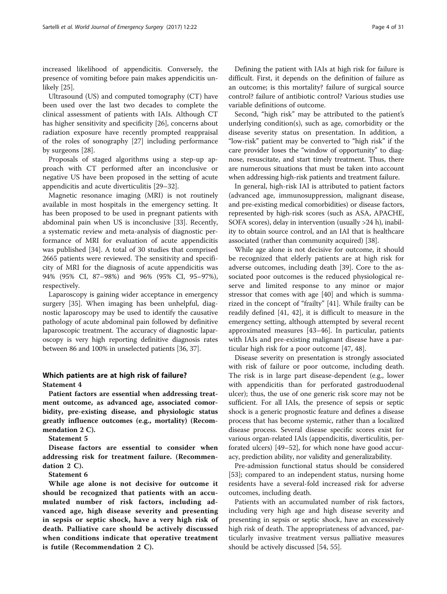increased likelihood of appendicitis. Conversely, the presence of vomiting before pain makes appendicitis unlikely [\[25\]](#page-24-0).

Ultrasound (US) and computed tomography (CT) have been used over the last two decades to complete the clinical assessment of patients with IAIs. Although CT has higher sensitivity and specificity [[26\]](#page-24-0), concerns about radiation exposure have recently prompted reappraisal of the roles of sonography [\[27](#page-24-0)] including performance by surgeons [\[28](#page-24-0)].

Proposals of staged algorithms using a step-up approach with CT performed after an inconclusive or negative US have been proposed in the setting of acute appendicitis and acute diverticulitis [[29](#page-24-0)–[32](#page-24-0)].

Magnetic resonance imaging (MRI) is not routinely available in most hospitals in the emergency setting. It has been proposed to be used in pregnant patients with abdominal pain when US is inconclusive [[33](#page-24-0)]. Recently, a systematic review and meta-analysis of diagnostic performance of MRI for evaluation of acute appendicitis was published [\[34](#page-24-0)]. A total of 30 studies that comprised 2665 patients were reviewed. The sensitivity and specificity of MRI for the diagnosis of acute appendicitis was 94% (95% CI, 87–98%) and 96% (95% CI, 95–97%), respectively.

Laparoscopy is gaining wider acceptance in emergency surgery [[35](#page-24-0)]. When imaging has been unhelpful, diagnostic laparoscopy may be used to identify the causative pathology of acute abdominal pain followed by definitive laparoscopic treatment. The accuracy of diagnostic laparoscopy is very high reporting definitive diagnosis rates between 86 and 100% in unselected patients [[36](#page-24-0), [37\]](#page-24-0).

# Which patients are at high risk of failure? Statement 4

Patient factors are essential when addressing treatment outcome, as advanced age, associated comorbidity, pre-existing disease, and physiologic status greatly influence outcomes (e.g., mortality) (Recommendation 2 C).

Statement 5

Disease factors are essential to consider when addressing risk for treatment failure. (Recommendation 2 C).

## Statement 6

While age alone is not decisive for outcome it should be recognized that patients with an accumulated number of risk factors, including advanced age, high disease severity and presenting in sepsis or septic shock, have a very high risk of death. Palliative care should be actively discussed when conditions indicate that operative treatment is futile (Recommendation 2 C).

Defining the patient with IAIs at high risk for failure is difficult. First, it depends on the definition of failure as an outcome; is this mortality? failure of surgical source control? failure of antibiotic control? Various studies use variable definitions of outcome.

Second, "high risk" may be attributed to the patient's underlying condition(s), such as age, comorbidity or the disease severity status on presentation. In addition, a "low-risk" patient may be converted to "high risk" if the care provider loses the "window of opportunity" to diagnose, resuscitate, and start timely treatment. Thus, there are numerous situations that must be taken into account when addressing high-risk patients and treatment failure.

In general, high-risk IAI is attributed to patient factors (advanced age, immunosuppression, malignant disease, and pre-existing medical comorbidities) or disease factors, represented by high-risk scores (such as ASA, APACHE, SOFA scores), delay in intervention (usually >24 h), inability to obtain source control, and an IAI that is healthcare associated (rather than community acquired) [\[38\]](#page-24-0).

While age alone is not decisive for outcome, it should be recognized that elderly patients are at high risk for adverse outcomes, including death [[39](#page-24-0)]. Core to the associated poor outcomes is the reduced physiological reserve and limited response to any minor or major stressor that comes with age [\[40](#page-24-0)] and which is summarized in the concept of "frailty" [[41\]](#page-24-0). While frailty can be readily defined [\[41, 42\]](#page-24-0), it is difficult to measure in the emergency setting, although attempted by several recent approximated measures [[43](#page-24-0)–[46](#page-24-0)]. In particular, patients with IAIs and pre-existing malignant disease have a particular high risk for a poor outcome [\[47](#page-24-0), [48\]](#page-24-0).

Disease severity on presentation is strongly associated with risk of failure or poor outcome, including death. The risk is in large part disease-dependent (e.g., lower with appendicitis than for perforated gastroduodenal ulcer); thus, the use of one generic risk score may not be sufficient. For all IAIs, the presence of sepsis or septic shock is a generic prognostic feature and defines a disease process that has become systemic, rather than a localized disease process. Several disease specific scores exist for various organ-related IAIs (appendicitis, diverticulitis, perforated ulcers) [\[49](#page-24-0)–[52\]](#page-25-0), for which none have good accuracy, prediction ability, nor validity and generalizability.

Pre-admission functional status should be considered [[53\]](#page-25-0); compared to an independent status, nursing home residents have a several-fold increased risk for adverse outcomes, including death.

Patients with an accumulated number of risk factors, including very high age and high disease severity and presenting in sepsis or septic shock, have an excessively high risk of death. The appropriateness of advanced, particularly invasive treatment versus palliative measures should be actively discussed [\[54](#page-25-0), [55](#page-25-0)].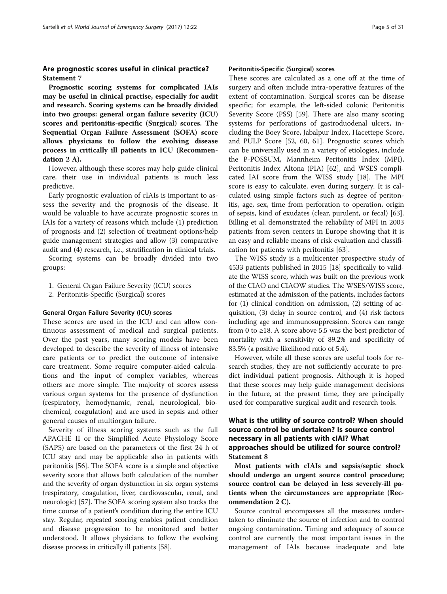# Are prognostic scores useful in clinical practice? Statement 7

Prognostic scoring systems for complicated IAIs may be useful in clinical practise, especially for audit and research. Scoring systems can be broadly divided into two groups: general organ failure severity (ICU) scores and peritonitis-specific (Surgical) scores. The Sequential Organ Failure Assessment (SOFA) score allows physicians to follow the evolving disease process in critically ill patients in ICU (Recommendation 2 A).

However, although these scores may help guide clinical care, their use in individual patients is much less predictive.

Early prognostic evaluation of cIAIs is important to assess the severity and the prognosis of the disease. It would be valuable to have accurate prognostic scores in IAIs for a variety of reasons which include (1) prediction of prognosis and (2) selection of treatment options/help guide management strategies and allow (3) comparative audit and (4) research, i.e., stratification in clinical trials.

Scoring systems can be broadly divided into two groups:

- 1. General Organ Failure Severity (ICU) scores
- 2. Peritonitis-Specific (Surgical) scores

#### General Organ Failure Severity (ICU) scores

These scores are used in the ICU and can allow continuous assessment of medical and surgical patients. Over the past years, many scoring models have been developed to describe the severity of illness of intensive care patients or to predict the outcome of intensive care treatment. Some require computer-aided calculations and the input of complex variables, whereas others are more simple. The majority of scores assess various organ systems for the presence of dysfunction (respiratory, hemodynamic, renal, neurological, biochemical, coagulation) and are used in sepsis and other general causes of multiorgan failure.

Severity of illness scoring systems such as the full APACHE II or the Simplified Acute Physiology Score (SAPS) are based on the parameters of the first 24 h of ICU stay and may be applicable also in patients with peritonitis [\[56](#page-25-0)]. The SOFA score is a simple and objective severity score that allows both calculation of the number and the severity of organ dysfunction in six organ systems (respiratory, coagulation, liver, cardiovascular, renal, and neurologic) [[57\]](#page-25-0). The SOFA scoring system also tracks the time course of a patient's condition during the entire ICU stay. Regular, repeated scoring enables patient condition and disease progression to be monitored and better understood. It allows physicians to follow the evolving disease process in critically ill patients [[58](#page-25-0)].

# Peritonitis-Specific (Surgical) scores

These scores are calculated as a one off at the time of surgery and often include intra-operative features of the extent of contamination. Surgical scores can be disease specific; for example, the left-sided colonic Peritonitis Severity Score (PSS) [\[59](#page-25-0)]. There are also many scoring systems for perforations of gastroduodenal ulcers, including the Boey Score, Jabalpur Index, Hacettepe Score, and PULP Score [\[52](#page-25-0), [60, 61](#page-25-0)]. Prognostic scores which can be universally used in a variety of etiologies, include the P-POSSUM, Mannheim Peritonitis Index (MPI), Peritonitis Index Altona (PIA) [[62\]](#page-25-0), and WSES complicated IAI score from the WISS study [[18\]](#page-24-0). The MPI score is easy to calculate, even during surgery. It is calculated using simple factors such as degree of peritonitis, age, sex, time from perforation to operation, origin of sepsis, kind of exudates (clear, purulent, or fecal) [\[63](#page-25-0)]. Billing et al. demonstrated the reliability of MPI in 2003 patients from seven centers in Europe showing that it is an easy and reliable means of risk evaluation and classification for patients with peritonitis [\[63\]](#page-25-0).

The WISS study is a multicenter prospective study of 4533 patients published in 2015 [[18](#page-24-0)] specifically to validate the WISS score, which was built on the previous work of the CIAO and CIAOW studies. The WSES/WISS score, estimated at the admission of the patients, includes factors for (1) clinical condition on admission, (2) setting of acquisition, (3) delay in source control, and (4) risk factors including age and immunosuppression. Scores can range from 0 to  $\geq$ 18. A score above 5.5 was the best predictor of mortality with a sensitivity of 89.2% and specificity of 83.5% (a positive likelihood ratio of 5.4).

However, while all these scores are useful tools for research studies, they are not sufficiently accurate to predict individual patient prognosis. Although it is hoped that these scores may help guide management decisions in the future, at the present time, they are principally used for comparative surgical audit and research tools.

# What is the utility of source control? When should source control be undertaken? Is source control necessary in all patients with cIAI? What approaches should be utilized for source control? Statement 8

Most patients with cIAIs and sepsis/septic shock should undergo an urgent source control procedure; source control can be delayed in less severely-ill patients when the circumstances are appropriate (Recommendation 2 C).

Source control encompasses all the measures undertaken to eliminate the source of infection and to control ongoing contamination. Timing and adequacy of source control are currently the most important issues in the management of IAIs because inadequate and late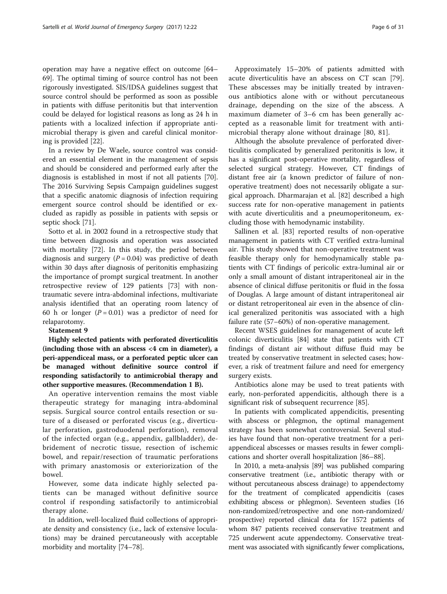operation may have a negative effect on outcome [[64](#page-25-0)– [69\]](#page-25-0). The optimal timing of source control has not been rigorously investigated. SIS/IDSA guidelines suggest that source control should be performed as soon as possible in patients with diffuse peritonitis but that intervention could be delayed for logistical reasons as long as 24 h in patients with a localized infection if appropriate antimicrobial therapy is given and careful clinical monitoring is provided [[22](#page-24-0)].

In a review by De Waele, source control was considered an essential element in the management of sepsis and should be considered and performed early after the diagnosis is established in most if not all patients [\[70](#page-25-0)]. The 2016 Surviving Sepsis Campaign guidelines suggest that a specific anatomic diagnosis of infection requiring emergent source control should be identified or excluded as rapidly as possible in patients with sepsis or septic shock [[71\]](#page-25-0).

Sotto et al. in 2002 found in a retrospective study that time between diagnosis and operation was associated with mortality [[72\]](#page-25-0). In this study, the period between diagnosis and surgery  $(P = 0.04)$  was predictive of death within 30 days after diagnosis of peritonitis emphasizing the importance of prompt surgical treatment. In another retrospective review of 129 patients [[73\]](#page-25-0) with nontraumatic severe intra-abdominal infections, multivariate analysis identified that an operating room latency of 60 h or longer  $(P = 0.01)$  was a predictor of need for relaparotomy.

#### Statement 9

Highly selected patients with perforated diverticulitis (including those with an abscess  $\langle 4 \rangle$  cm in diameter), a peri-appendiceal mass, or a perforated peptic ulcer can be managed without definitive source control if responding satisfactorily to antimicrobial therapy and other supportive measures. (Recommendation 1 B).

An operative intervention remains the most viable therapeutic strategy for managing intra-abdominal sepsis. Surgical source control entails resection or suture of a diseased or perforated viscus (e.g., diverticular perforation, gastroduodenal perforation), removal of the infected organ (e.g., appendix, gallbladder), debridement of necrotic tissue, resection of ischemic bowel, and repair/resection of traumatic perforations with primary anastomosis or exteriorization of the bowel.

However, some data indicate highly selected patients can be managed without definitive source control if responding satisfactorily to antimicrobial therapy alone.

In addition, well-localized fluid collections of appropriate density and consistency (i.e., lack of extensive loculations) may be drained percutaneously with acceptable morbidity and mortality [[74](#page-25-0)–[78](#page-25-0)].

Approximately 15–20% of patients admitted with acute diverticulitis have an abscess on CT scan [\[79](#page-25-0)]. These abscesses may be initially treated by intravenous antibiotics alone with or without percutaneous drainage, depending on the size of the abscess. A maximum diameter of 3–6 cm has been generally accepted as a reasonable limit for treatment with antimicrobial therapy alone without drainage [[80](#page-25-0), [81](#page-25-0)].

Although the absolute prevalence of perforated diverticulitis complicated by generalized peritonitis is low, it has a significant post-operative mortality, regardless of selected surgical strategy. However, CT findings of distant free air (a known predictor of failure of nonoperative treatment) does not necessarily obligate a surgical approach. Dharmarajan et al. [\[82\]](#page-25-0) described a high success rate for non-operative management in patients with acute diverticulitis and a pneumoperitoneum, excluding those with hemodynamic instability.

Sallinen et al. [[83](#page-25-0)] reported results of non-operative management in patients with CT verified extra-luminal air. This study showed that non-operative treatment was feasible therapy only for hemodynamically stable patients with CT findings of pericolic extra-luminal air or only a small amount of distant intraperitoneal air in the absence of clinical diffuse peritonitis or fluid in the fossa of Douglas. A large amount of distant intraperitoneal air or distant retroperitoneal air even in the absence of clinical generalized peritonitis was associated with a high failure rate (57–60%) of non-operative management.

Recent WSES guidelines for management of acute left colonic diverticulitis [\[84\]](#page-25-0) state that patients with CT findings of distant air without diffuse fluid may be treated by conservative treatment in selected cases; however, a risk of treatment failure and need for emergency surgery exists.

Antibiotics alone may be used to treat patients with early, non-perforated appendicitis, although there is a significant risk of subsequent recurrence [\[85\]](#page-25-0).

In patients with complicated appendicitis, presenting with abscess or phlegmon, the optimal management strategy has been somewhat controversial. Several studies have found that non-operative treatment for a periappendiceal abscesses or masses results in fewer complications and shorter overall hospitalization [[86](#page-25-0)–[88](#page-25-0)].

In 2010, a meta-analysis [[89](#page-25-0)] was published comparing conservative treatment (i.e., antibiotic therapy with or without percutaneous abscess drainage) to appendectomy for the treatment of complicated appendicitis (cases exhibiting abscess or phlegmon). Seventeen studies (16 non-randomized/retrospective and one non-randomized/ prospective) reported clinical data for 1572 patients of whom 847 patients received conservative treatment and 725 underwent acute appendectomy. Conservative treatment was associated with significantly fewer complications,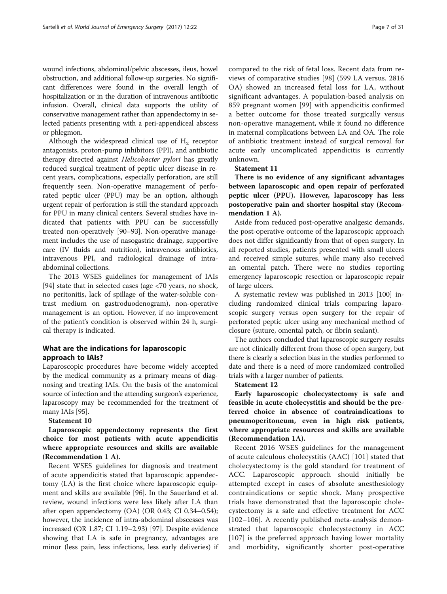wound infections, abdominal/pelvic abscesses, ileus, bowel obstruction, and additional follow-up surgeries. No significant differences were found in the overall length of hospitalization or in the duration of intravenous antibiotic infusion. Overall, clinical data supports the utility of conservative management rather than appendectomy in selected patients presenting with a peri-appendiceal abscess or phlegmon.

Although the widespread clinical use of  $H_2$  receptor antagonists, proton-pump inhibitors (PPI), and antibiotic therapy directed against Helicobacter pylori has greatly reduced surgical treatment of peptic ulcer disease in recent years, complications, especially perforation, are still frequently seen. Non-operative management of perforated peptic ulcer (PPU) may be an option, although urgent repair of perforation is still the standard approach for PPU in many clinical centers. Several studies have indicated that patients with PPU can be successfully treated non-operatively [\[90](#page-25-0)–[93](#page-25-0)]. Non-operative management includes the use of nasogastric drainage, supportive care (IV fluids and nutrition), intravenous antibiotics, intravenous PPI, and radiological drainage of intraabdominal collections.

The 2013 WSES guidelines for management of IAIs [[94\]](#page-25-0) state that in selected cases (age <70 years, no shock, no peritonitis, lack of spillage of the water-soluble contrast medium on gastroduodenogram), non-operative management is an option. However, if no improvement of the patient's condition is observed within 24 h, surgical therapy is indicated.

# What are the indications for laparoscopic approach to IAIs?

Laparoscopic procedures have become widely accepted by the medical community as a primary means of diagnosing and treating IAIs. On the basis of the anatomical source of infection and the attending surgeon's experience, laparoscopy may be recommended for the treatment of many IAIs [\[95\]](#page-25-0).

# Statement 10

Laparoscopic appendectomy represents the first choice for most patients with acute appendicitis where appropriate resources and skills are available (Recommendation 1 A).

Recent WSES guidelines for diagnosis and treatment of acute appendicitis stated that laparoscopic appendectomy (LA) is the first choice where laparoscopic equipment and skills are available [\[96\]](#page-26-0). In the Sauerland et al. review, wound infections were less likely after LA than after open appendectomy (OA) (OR 0.43; CI 0.34–0.54); however, the incidence of intra-abdominal abscesses was increased (OR 1.87; CI 1.19–2.93) [[97\]](#page-26-0). Despite evidence showing that LA is safe in pregnancy, advantages are minor (less pain, less infections, less early deliveries) if compared to the risk of fetal loss. Recent data from reviews of comparative studies [[98\]](#page-26-0) (599 LA versus. 2816 OA) showed an increased fetal loss for LA, without significant advantages. A population-based analysis on 859 pregnant women [\[99](#page-26-0)] with appendicitis confirmed a better outcome for those treated surgically versus non-operative management, while it found no difference in maternal complications between LA and OA. The role of antibiotic treatment instead of surgical removal for acute early uncomplicated appendicitis is currently unknown.

# Statement 11

There is no evidence of any significant advantages between laparoscopic and open repair of perforated peptic ulcer (PPU). However, laparoscopy has less postoperative pain and shorter hospital stay (Recommendation 1 A).

Aside from reduced post-operative analgesic demands, the post-operative outcome of the laparoscopic approach does not differ significantly from that of open surgery. In all reported studies, patients presented with small ulcers and received simple sutures, while many also received an omental patch. There were no studies reporting emergency laparoscopic resection or laparoscopic repair of large ulcers.

A systematic review was published in 2013 [[100](#page-26-0)] including randomized clinical trials comparing laparoscopic surgery versus open surgery for the repair of perforated peptic ulcer using any mechanical method of closure (suture, omental patch, or fibrin sealant).

The authors concluded that laparoscopic surgery results are not clinically different from those of open surgery, but there is clearly a selection bias in the studies performed to date and there is a need of more randomized controlled trials with a larger number of patients.

#### Statement 12

Early laparoscopic cholecystectomy is safe and feasible in acute cholecystitis and should be the preferred choice in absence of contraindications to pneumoperitoneum, even in high risk patients, where appropriate resources and skills are available (Recommendation 1A).

Recent 2016 WSES guidelines for the management of acute calculous cholecystitis (AAC) [\[101\]](#page-26-0) stated that cholecystectomy is the gold standard for treatment of ACC. Laparoscopic approach should initially be attempted except in cases of absolute anesthesiology contraindications or septic shock. Many prospective trials have demonstrated that the laparoscopic cholecystectomy is a safe and effective treatment for ACC [[102](#page-26-0)–[106](#page-26-0)]. A recently published meta-analysis demonstrated that laparoscopic cholecystectomy in ACC [[107](#page-26-0)] is the preferred approach having lower mortality and morbidity, significantly shorter post-operative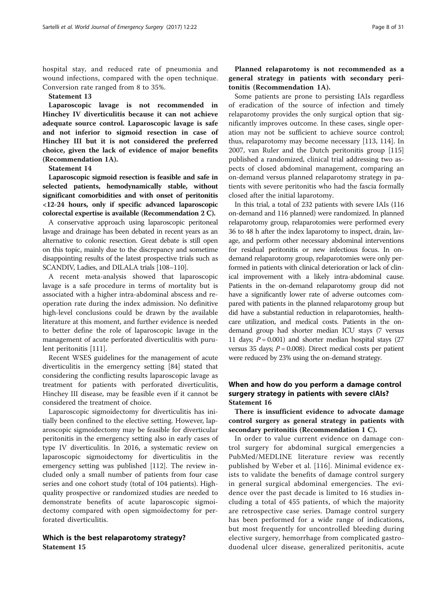hospital stay, and reduced rate of pneumonia and wound infections, compared with the open technique. Conversion rate ranged from 8 to 35%.

#### Statement 13

Laparoscopic lavage is not recommended in Hinchey IV diverticulitis because it can not achieve adequate source control. Laparoscopic lavage is safe and not inferior to sigmoid resection in case of Hinchey III but it is not considered the preferred choice, given the lack of evidence of major benefits (Recommendation 1A).

Statement 14

Laparoscopic sigmoid resection is feasible and safe in selected patients, hemodynamically stable, without significant comorbidities and with onset of peritonitis <12-24 hours, only if specific advanced laparoscopic colorectal expertise is available (Recommendation 2 C).

A conservative approach using laparoscopic peritoneal lavage and drainage has been debated in recent years as an alternative to colonic resection. Great debate is still open on this topic, mainly due to the discrepancy and sometime disappointing results of the latest prospective trials such as SCANDIV, Ladies, and DILALA trials [[108](#page-26-0)–[110\]](#page-26-0).

A recent meta-analysis showed that laparoscopic lavage is a safe procedure in terms of mortality but is associated with a higher intra-abdominal abscess and reoperation rate during the index admission. No definitive high-level conclusions could be drawn by the available literature at this moment, and further evidence is needed to better define the role of laparoscopic lavage in the management of acute perforated diverticulitis with purulent peritonitis [[111\]](#page-26-0).

Recent WSES guidelines for the management of acute diverticulitis in the emergency setting [\[84](#page-25-0)] stated that considering the conflicting results laparoscopic lavage as treatment for patients with perforated diverticulitis, Hinchey III disease, may be feasible even if it cannot be considered the treatment of choice.

Laparoscopic sigmoidectomy for diverticulitis has initially been confined to the elective setting. However, laparoscopic sigmoidectomy may be feasible for diverticular peritonitis in the emergency setting also in early cases of type IV diverticulitis. In 2016, a systematic review on laparoscopic sigmoidectomy for diverticulitis in the emergency setting was published [\[112\]](#page-26-0). The review included only a small number of patients from four case series and one cohort study (total of 104 patients). Highquality prospective or randomized studies are needed to demonstrate benefits of acute laparoscopic sigmoidectomy compared with open sigmoidectomy for perforated diverticulitis.

# Which is the best relaparotomy strategy? Statement 15

Planned relaparotomy is not recommended as a general strategy in patients with secondary peritonitis (Recommendation 1A).

Some patients are prone to persisting IAIs regardless of eradication of the source of infection and timely relaparotomy provides the only surgical option that significantly improves outcome. In these cases, single operation may not be sufficient to achieve source control; thus, relaparotomy may become necessary [\[113](#page-26-0), [114](#page-26-0)]. In 2007, van Ruler and the Dutch peritonitis group [[115](#page-26-0)] published a randomized, clinical trial addressing two aspects of closed abdominal management, comparing an on-demand versus planned relaparotomy strategy in patients with severe peritonitis who had the fascia formally closed after the initial laparotomy.

In this trial, a total of 232 patients with severe IAIs (116 on-demand and 116 planned) were randomized. In planned relaparotomy group, relaparotomies were performed every 36 to 48 h after the index laparotomy to inspect, drain, lavage, and perform other necessary abdominal interventions for residual peritonitis or new infectious focus. In ondemand relaparotomy group, relaparotomies were only performed in patients with clinical deterioration or lack of clinical improvement with a likely intra-abdominal cause. Patients in the on-demand relaparotomy group did not have a significantly lower rate of adverse outcomes compared with patients in the planned relaparotomy group but did have a substantial reduction in relaparotomies, healthcare utilization, and medical costs. Patients in the ondemand group had shorter median ICU stays (7 versus 11 days;  $P = 0.001$ ) and shorter median hospital stays (27 versus 35 days;  $P = 0.008$ ). Direct medical costs per patient were reduced by 23% using the on-demand strategy.

# When and how do you perform a damage control surgery strategy in patients with severe cIAIs? Statement 16

There is insufficient evidence to advocate damage control surgery as general strategy in patients with secondary peritonitis (Recommendation 1 C).

In order to value current evidence on damage control surgery for abdominal surgical emergencies a PubMed/MEDLINE literature review was recently published by Weber et al. [[116\]](#page-26-0). Minimal evidence exists to validate the benefits of damage control surgery in general surgical abdominal emergencies. The evidence over the past decade is limited to 16 studies including a total of 455 patients, of which the majority are retrospective case series. Damage control surgery has been performed for a wide range of indications, but most frequently for uncontrolled bleeding during elective surgery, hemorrhage from complicated gastroduodenal ulcer disease, generalized peritonitis, acute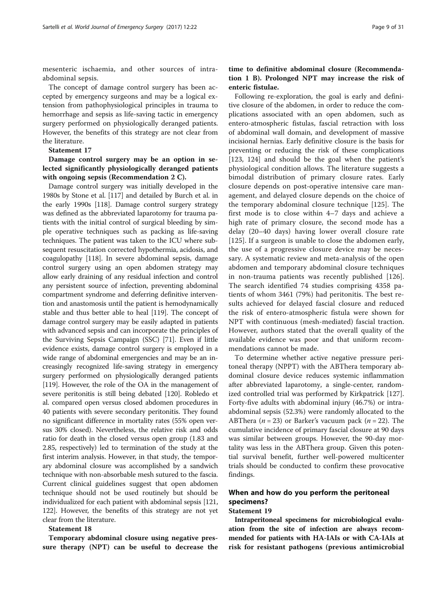mesenteric ischaemia, and other sources of intraabdominal sepsis.

The concept of damage control surgery has been accepted by emergency surgeons and may be a logical extension from pathophysiological principles in trauma to hemorrhage and sepsis as life-saving tactic in emergency surgery performed on physiologically deranged patients. However, the benefits of this strategy are not clear from the literature.

# Statement 17

Damage control surgery may be an option in selected significantly physiologically deranged patients with ongoing sepsis (Recommendation 2 C).

Damage control surgery was initially developed in the 1980s by Stone et al. [\[117](#page-26-0)] and detailed by Burch et al. in the early 1990s [\[118\]](#page-26-0). Damage control surgery strategy was defined as the abbreviated laparotomy for trauma patients with the initial control of surgical bleeding by simple operative techniques such as packing as life-saving techniques. The patient was taken to the ICU where subsequent resuscitation corrected hypothermia, acidosis, and coagulopathy [\[118\]](#page-26-0). In severe abdominal sepsis, damage control surgery using an open abdomen strategy may allow early draining of any residual infection and control any persistent source of infection, preventing abdominal compartment syndrome and deferring definitive intervention and anastomosis until the patient is hemodynamically stable and thus better able to heal [\[119](#page-26-0)]. The concept of damage control surgery may be easily adapted in patients with advanced sepsis and can incorporate the principles of the Surviving Sepsis Campaign (SSC) [\[71\]](#page-25-0). Even if little evidence exists, damage control surgery is employed in a wide range of abdominal emergencies and may be an increasingly recognized life-saving strategy in emergency surgery performed on physiologically deranged patients [[119](#page-26-0)]. However, the role of the OA in the management of severe peritonitis is still being debated [[120](#page-26-0)]. Robledo et al. compared open versus closed abdomen procedures in 40 patients with severe secondary peritonitis. They found no significant difference in mortality rates (55% open versus 30% closed). Nevertheless, the relative risk and odds ratio for death in the closed versus open group (1.83 and 2.85, respectively) led to termination of the study at the first interim analysis. However, in that study, the temporary abdominal closure was accomplished by a sandwich technique with non-absorbable mesh sutured to the fascia. Current clinical guidelines suggest that open abdomen technique should not be used routinely but should be individualized for each patient with abdominal sepsis [\[121](#page-26-0), [122](#page-26-0)]. However, the benefits of this strategy are not yet clear from the literature.

# Statement 18

Temporary abdominal closure using negative pressure therapy (NPT) can be useful to decrease the

# time to definitive abdominal closure (Recommendation 1 B). Prolonged NPT may increase the risk of enteric fistulae.

Following re-exploration, the goal is early and definitive closure of the abdomen, in order to reduce the complications associated with an open abdomen, such as entero-atmospheric fistulas, fascial retraction with loss of abdominal wall domain, and development of massive incisional hernias. Early definitive closure is the basis for preventing or reducing the risk of these complications [[123, 124](#page-26-0)] and should be the goal when the patient's physiological condition allows. The literature suggests a bimodal distribution of primary closure rates. Early closure depends on post-operative intensive care management, and delayed closure depends on the choice of the temporary abdominal closure technique [[125\]](#page-26-0). The first mode is to close within 4–7 days and achieve a high rate of primary closure, the second mode has a delay (20–40 days) having lower overall closure rate [[125\]](#page-26-0). If a surgeon is unable to close the abdomen early, the use of a progressive closure device may be necessary. A systematic review and meta-analysis of the open abdomen and temporary abdominal closure techniques in non-trauma patients was recently published [\[126](#page-26-0)]. The search identified 74 studies comprising 4358 patients of whom 3461 (79%) had peritonitis. The best results achieved for delayed fascial closure and reduced the risk of entero-atmospheric fistula were shown for NPT with continuous (mesh-mediated) fascial traction. However, authors stated that the overall quality of the available evidence was poor and that uniform recommendations cannot be made.

To determine whether active negative pressure peritoneal therapy (NPPT) with the ABThera temporary abdominal closure device reduces systemic inflammation after abbreviated laparotomy, a single-center, randomized controlled trial was performed by Kirkpatrick [[127](#page-26-0)]. Forty-five adults with abdominal injury (46.7%) or intraabdominal sepsis (52.3%) were randomly allocated to the ABThera ( $n = 23$ ) or Barker's vacuum pack ( $n = 22$ ). The cumulative incidence of primary fascial closure at 90 days was similar between groups. However, the 90-day mortality was less in the ABThera group. Given this potential survival benefit, further well-powered multicenter trials should be conducted to confirm these provocative findings.

# When and how do you perform the peritoneal specimens?

# Statement 19

Intraperitoneal specimens for microbiological evaluation from the site of infection are always recommended for patients with HA-IAIs or with CA-IAIs at risk for resistant pathogens (previous antimicrobial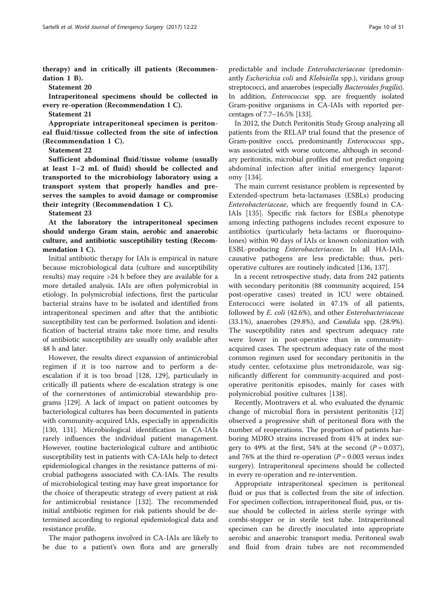therapy) and in critically ill patients (Recommendation 1 B).

Statement 20

Intraperitoneal specimens should be collected in every re-operation (Recommendation 1 C).

Statement 21

Appropriate intraperitoneal specimen is peritoneal fluid/tissue collected from the site of infection (Recommendation 1 C).

Statement 22

Sufficient abdominal fluid/tissue volume (usually at least 1–2 mL of fluid) should be collected and transported to the microbiology laboratory using a transport system that properly handles and preserves the samples to avoid damage or compromise their integrity (Recommendation 1 C).

Statement 23

At the laboratory the intraperitoneal specimen should undergo Gram stain, aerobic and anaerobic culture, and antibiotic susceptibility testing (Recommendation 1 C).

Initial antibiotic therapy for IAIs is empirical in nature because microbiological data (culture and susceptibility results) may require >24 h before they are available for a more detailed analysis. IAIs are often polymicrobial in etiology. In polymicrobial infections, first the particular bacterial strains have to be isolated and identified from intraperitoneal specimen and after that the antibiotic susceptibility test can be performed. Isolation and identification of bacterial strains take more time, and results of antibiotic susceptibility are usually only available after 48 h and later.

However, the results direct expansion of antimicrobial regimen if it is too narrow and to perform a deescalation if it is too broad [\[128](#page-26-0), [129\]](#page-26-0), particularly in critically ill patients where de-escalation strategy is one of the cornerstones of antimicrobial stewardship programs [[129\]](#page-26-0). A lack of impact on patient outcomes by bacteriological cultures has been documented in patients with community-acquired IAIs, especially in appendicitis [[130, 131](#page-26-0)]. Microbiological identification in CA-IAIs rarely influences the individual patient management. However, routine bacteriological culture and antibiotic susceptibility test in patients with CA-IAIs help to detect epidemiological changes in the resistance patterns of microbial pathogens associated with CA-IAIs. The results of microbiological testing may have great importance for the choice of therapeutic strategy of every patient at risk for antimicrobial resistance [[132](#page-26-0)]. The recommended initial antibiotic regimen for risk patients should be determined according to regional epidemiological data and resistance profile.

The major pathogens involved in CA-IAIs are likely to be due to a patient's own flora and are generally

predictable and include Enterobacteriaceae (predominantly Escherichia coli and Klebsiella spp.), viridans group streptococci, and anaerobes (especially Bacteroides fragilis). In addition, Enterococcus spp. are frequently isolated Gram-positive organisms in CA-IAIs with reported percentages of 7.7–16.5% [\[133](#page-26-0)].

In 2012, the Dutch Peritonitis Study Group analyzing all patients from the RELAP trial found that the presence of Gram-positive cocci, predominantly Enterococcus spp., was associated with worse outcome, although in secondary peritonitis, microbial profiles did not predict ongoing abdominal infection after initial emergency laparotomy [[134\]](#page-26-0).

The main current resistance problem is represented by Extended-spectrum beta-lactamases (ESBLs) producing Enterobacteriaceae, which are frequently found in CA-IAIs [[135\]](#page-26-0). Specific risk factors for ESBLs phenotype among infecting pathogens includes recent exposure to antibiotics (particularly beta-lactams or fluoroquinolones) within 90 days of IAIs or known colonization with ESBL-producing Enterobacteriaceae. In all HA-IAIs, causative pathogens are less predictable; thus, perioperative cultures are routinely indicated [\[136, 137\]](#page-26-0).

In a recent retrospective study, data from 242 patients with secondary peritonitis (88 community acquired, 154 post-operative cases) treated in ICU were obtained. Enterococci were isolated in 47.1% of all patients, followed by E. coli (42.6%), and other Enterobacteriaceae (33.1%), anaerobes (29.8%), and Candida spp. (28.9%). The susceptibility rates and spectrum adequacy rate were lower in post-operative than in communityacquired cases. The spectrum adequacy rate of the most common regimen used for secondary peritonitis in the study center, cefotaxime plus metronidazole, was significantly different for community-acquired and postoperative peritonitis episodes, mainly for cases with polymicrobial positive cultures [\[138](#page-26-0)].

Recently, Montravers et al. who evaluated the dynamic change of microbial flora in persistent peritonitis [[12](#page-24-0)] observed a progressive shift of peritoneal flora with the number of reoperations. The proportion of patients harboring MDRO strains increased from 41% at index surgery to 49% at the first, 54% at the second  $(P = 0.037)$ , and 76% at the third re-operation ( $P = 0.003$  versus index surgery). Intraperitoneal specimens should be collected in every re-operation and re-intervention.

Appropriate intraperitoneal specimen is peritoneal fluid or pus that is collected from the site of infection. For specimen collection, intraperitoneal fluid, pus, or tissue should be collected in airless sterile syringe with combi-stopper or in sterile test tube. Intraperitoneal specimen can be directly inoculated into appropriate aerobic and anaerobic transport media. Peritoneal swab and fluid from drain tubes are not recommended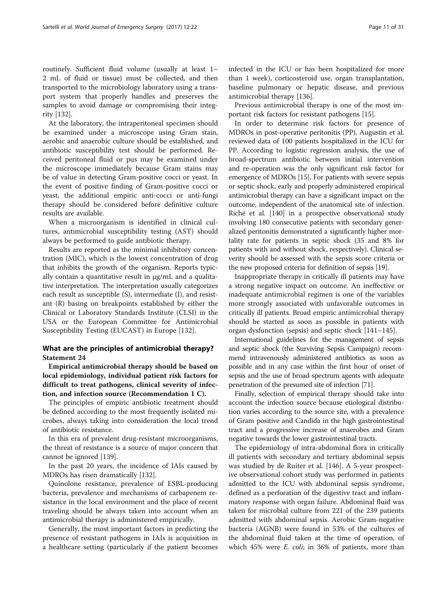routinely. Sufficient fluid volume (usually at least 1– 2 mL of fluid or tissue) must be collected, and then transported to the microbiology laboratory using a transport system that properly handles and preserves the samples to avoid damage or compromising their integrity [[132](#page-26-0)].

At the laboratory, the intraperitoneal specimen should be examined under a microscope using Gram stain, aerobic and anaerobic culture should be established, and antibiotic susceptibility test should be performed. Received peritoneal fluid or pus may be examined under the microscope immediately because Gram stains may be of value in detecting Gram-positive cocci or yeast. In the event of positive finding of Gram-positive cocci or yeast, the additional empiric anti-cocci or anti-fungi therapy should be considered before definitive culture results are available.

When a microorganism is identified in clinical cultures, antimicrobial susceptibility testing (AST) should always be performed to guide antibiotic therapy.

Results are reported as the minimal inhibitory concentration (MIC), which is the lowest concentration of drug that inhibits the growth of the organism. Reports typically contain a quantitative result in μg/mL and a qualitative interpretation. The interpretation usually categorizes each result as susceptible (S), intermediate (I), and resistant (R) basing on breakpoints established by either the Clinical or Laboratory Standards Institute (CLSI) in the USA or the European Committee for Antimicrobial Susceptibility Testing (EUCAST) in Europe [\[132\]](#page-26-0).

# What are the principles of antimicrobial therapy? Statement 24

Empirical antimicrobial therapy should be based on local epidemiology, individual patient risk factors for difficult to treat pathogens, clinical severity of infection, and infection source (Recommendation 1 C).

The principles of empiric antibiotic treatment should be defined according to the most frequently isolated microbes, always taking into consideration the local trend of antibiotic resistance.

In this era of prevalent drug-resistant microorganisms, the threat of resistance is a source of major concern that cannot be ignored [\[139\]](#page-26-0).

In the past 20 years, the incidence of IAIs caused by MDROs has risen dramatically [[132](#page-26-0)].

Quinolone resistance, prevalence of ESBL-producing bacteria, prevalence and mechanisms of carbapenem resistance in the local environment and the place of recent traveling should be always taken into account when an antimicrobial therapy is administered empirically.

Generally, the most important factors in predicting the presence of resistant pathogens in IAIs is acquisition in a healthcare setting (particularly if the patient becomes infected in the ICU or has been hospitalized for more than 1 week), corticosteroid use, organ transplantation, baseline pulmonary or hepatic disease, and previous antimicrobial therapy [\[136](#page-26-0)].

Previous antimicrobial therapy is one of the most important risk factors for resistant pathogens [[15](#page-24-0)].

In order to determine risk factors for presence of MDROs in post-operative peritonitis (PP), Augustin et al. reviewed data of 100 patients hospitalized in the ICU for PP. According to logistic regression analysis, the use of broad-spectrum antibiotic between initial intervention and re-operation was the only significant risk factor for emergence of MDROs [\[15\]](#page-24-0). For patients with severe sepsis or septic shock, early and properly administered empirical antimicrobial therapy can have a significant impact on the outcome, independent of the anatomical site of infection. Riché et al. [\[140\]](#page-26-0) in a prospective observational study involving 180 consecutive patients with secondary generalized peritonitis demonstrated a significantly higher mortality rate for patients in septic shock (35 and 8% for patients with and without shock, respectively). Clinical severity should be assessed with the sepsis score criteria or the new proposed criteria for definition of sepsis [[19](#page-24-0)].

Inappropriate therapy in critically ill patients may have a strong negative impact on outcome. An ineffective or inadequate antimicrobial regimen is one of the variables more strongly associated with unfavorable outcomes in critically ill patients. Broad empiric antimicrobial therapy should be started as soon as possible in patients with organ dysfunction (sepsis) and septic shock [\[141](#page-27-0)–[145\]](#page-27-0).

International guidelines for the management of sepsis and septic shock (the Surviving Sepsis Campaign) recommend intravenously administered antibiotics as soon as possible and in any case within the first hour of onset of sepsis and the use of broad-spectrum agents with adequate penetration of the presumed site of infection [[71](#page-25-0)].

Finally, selection of empirical therapy should take into account the infection source because etiological distribution varies according to the source site, with a prevalence of Gram positive and Candida in the high gastrointestinal tract and a progressive increase of anaerobes and Gram negative towards the lower gastrointestinal tracts.

The epidemiology of intra-abdominal flora in critically ill patients with secondary and tertiary abdominal sepsis was studied by de Ruiter et al. [[146](#page-27-0)]. A 5-year prospective observational cohort study was performed in patients admitted to the ICU with abdominal sepsis syndrome, defined as a perforation of the digestive tract and inflammatory response with organ failure. Abdominal fluid was taken for microbial culture from 221 of the 239 patients admitted with abdominal sepsis. Aerobic Gram-negative bacteria (AGNB) were found in 53% of the cultures of the abdominal fluid taken at the time of operation, of which 45% were *E. coli*; in 36% of patients, more than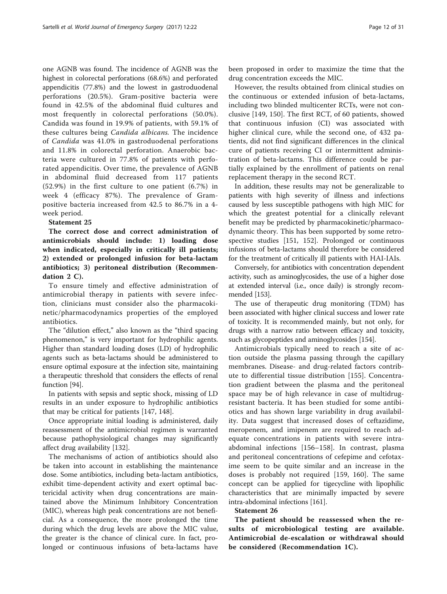one AGNB was found. The incidence of AGNB was the highest in colorectal perforations (68.6%) and perforated appendicitis (77.8%) and the lowest in gastroduodenal perforations (20.5%). Gram-positive bacteria were found in 42.5% of the abdominal fluid cultures and most frequently in colorectal perforations (50.0%). Candida was found in 19.9% of patients, with 59.1% of these cultures being Candida albicans. The incidence of Candida was 41.0% in gastroduodenal perforations and 11.8% in colorectal perforation. Anaerobic bacteria were cultured in 77.8% of patients with perforated appendicitis. Over time, the prevalence of AGNB in abdominal fluid decreased from 117 patients (52.9%) in the first culture to one patient (6.7%) in week 4 (efficacy 87%). The prevalence of Grampositive bacteria increased from 42.5 to 86.7% in a 4 week period.

# Statement 25

The correct dose and correct administration of antimicrobials should include: 1) loading dose when indicated, especially in critically ill patients; 2) extended or prolonged infusion for beta-lactam antibiotics; 3) peritoneal distribution (Recommendation 2 C).

To ensure timely and effective administration of antimicrobial therapy in patients with severe infection, clinicians must consider also the pharmacokinetic/pharmacodynamics properties of the employed antibiotics.

The "dilution effect," also known as the "third spacing phenomenon," is very important for hydrophilic agents. Higher than standard loading doses (LD) of hydrophilic agents such as beta-lactams should be administered to ensure optimal exposure at the infection site, maintaining a therapeutic threshold that considers the effects of renal function [\[94\]](#page-25-0).

In patients with sepsis and septic shock, missing of LD results in an under exposure to hydrophilic antibiotics that may be critical for patients [[147](#page-27-0), [148](#page-27-0)].

Once appropriate initial loading is administered, daily reassessment of the antimicrobial regimen is warranted because pathophysiological changes may significantly affect drug availability [[132\]](#page-26-0).

The mechanisms of action of antibiotics should also be taken into account in establishing the maintenance dose. Some antibiotics, including beta-lactam antibiotics, exhibit time-dependent activity and exert optimal bactericidal activity when drug concentrations are maintained above the Minimum Inhibitory Concentration (MIC), whereas high peak concentrations are not beneficial. As a consequence, the more prolonged the time during which the drug levels are above the MIC value, the greater is the chance of clinical cure. In fact, prolonged or continuous infusions of beta-lactams have

been proposed in order to maximize the time that the drug concentration exceeds the MIC.

However, the results obtained from clinical studies on the continuous or extended infusion of beta-lactams, including two blinded multicenter RCTs, were not conclusive [[149, 150](#page-27-0)]. The first RCT, of 60 patients, showed that continuous infusion (CI) was associated with higher clinical cure, while the second one, of 432 patients, did not find significant differences in the clinical cure of patients receiving CI or intermittent administration of beta-lactams. This difference could be partially explained by the enrollment of patients on renal replacement therapy in the second RCT.

In addition, these results may not be generalizable to patients with high severity of illness and infections caused by less susceptible pathogens with high MIC for which the greatest potential for a clinically relevant benefit may be predicted by pharmacokinetic/pharmacodynamic theory. This has been supported by some retrospective studies [[151, 152\]](#page-27-0). Prolonged or continuous infusions of beta-lactams should therefore be considered for the treatment of critically ill patients with HAI-IAIs.

Conversely, for antibiotics with concentration dependent activity, such as aminoglycosides, the use of a higher dose at extended interval (i.e., once daily) is strongly recommended [\[153\]](#page-27-0).

The use of therapeutic drug monitoring (TDM) has been associated with higher clinical success and lower rate of toxicity. It is recommended mainly, but not only, for drugs with a narrow ratio between efficacy and toxicity, such as glycopeptides and aminoglycosides [\[154](#page-27-0)].

Antimicrobials typically need to reach a site of action outside the plasma passing through the capillary membranes. Disease- and drug-related factors contribute to differential tissue distribution [[155](#page-27-0)]. Concentration gradient between the plasma and the peritoneal space may be of high relevance in case of multidrugresistant bacteria. It has been studied for some antibiotics and has shown large variability in drug availability. Data suggest that increased doses of ceftazidime, meropenem, and imipenem are required to reach adequate concentrations in patients with severe intraabdominal infections [[156](#page-27-0)–[158\]](#page-27-0). In contrast, plasma and peritoneal concentrations of cefepime and cefotaxime seem to be quite similar and an increase in the doses is probably not required [[159](#page-27-0), [160](#page-27-0)]. The same concept can be applied for tigecycline with lipophilic characteristics that are minimally impacted by severe intra-abdominal infections [\[161\]](#page-27-0).

#### Statement 26

The patient should be reassessed when the results of microbiological testing are available. Antimicrobial de-escalation or withdrawal should be considered (Recommendation 1C).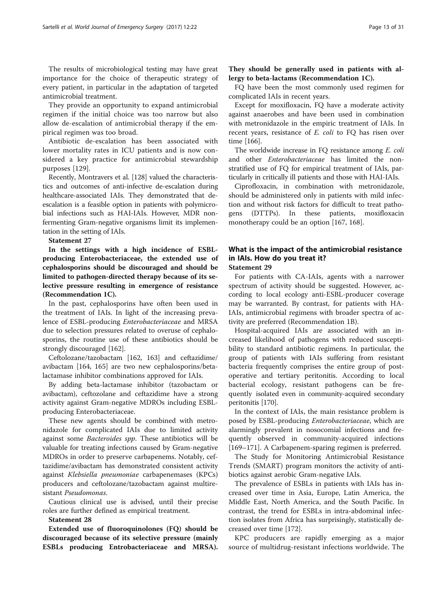The results of microbiological testing may have great importance for the choice of therapeutic strategy of every patient, in particular in the adaptation of targeted antimicrobial treatment.

They provide an opportunity to expand antimicrobial regimen if the initial choice was too narrow but also allow de-escalation of antimicrobial therapy if the empirical regimen was too broad.

Antibiotic de-escalation has been associated with lower mortality rates in ICU patients and is now considered a key practice for antimicrobial stewardship purposes [[129](#page-26-0)].

Recently, Montravers et al. [[128](#page-26-0)] valued the characteristics and outcomes of anti-infective de-escalation during healthcare-associated IAIs. They demonstrated that deescalation is a feasible option in patients with polymicrobial infections such as HAI-IAIs. However, MDR nonfermenting Gram-negative organisms limit its implementation in the setting of IAIs.

#### Statement 27

In the settings with a high incidence of ESBLproducing Enterobacteriaceae, the extended use of cephalosporins should be discouraged and should be limited to pathogen-directed therapy because of its selective pressure resulting in emergence of resistance (Recommendation 1C).

In the past, cephalosporins have often been used in the treatment of IAIs. In light of the increasing prevalence of ESBL-producing Enterobacteriaceae and MRSA due to selection pressures related to overuse of cephalosporins, the routine use of these antibiotics should be strongly discouraged [\[162](#page-27-0)].

Ceftolozane/tazobactam [[162](#page-27-0), [163](#page-27-0)] and ceftazidime/ avibactam [\[164, 165\]](#page-27-0) are two new cephalosporins/betalactamase inhibitor combinations approved for IAIs.

By adding beta-lactamase inhibitor (tazobactam or avibactam), ceftozolane and ceftazidime have a strong activity against Gram-negative MDROs including ESBLproducing Enterobacteriaceae.

These new agents should be combined with metronidazole for complicated IAIs due to limited activity against some Bacteroides spp. These antibiotics will be valuable for treating infections caused by Gram-negative MDROs in order to preserve carbapenems. Notably, ceftazidime/avibactam has demonstrated consistent activity against Klebsiella pneumoniae carbapenemases (KPCs) producers and ceftolozane/tazobactam against multiresistant Pseudomonas.

Cautious clinical use is advised, until their precise roles are further defined as empirical treatment.

#### Statement 28

Extended use of fluoroquinolones (FQ) should be discouraged because of its selective pressure (mainly ESBLs producing Entrobacteriaceae and MRSA).

They should be generally used in patients with allergy to beta-lactams (Recommendation 1C).

FQ have been the most commonly used regimen for complicated IAIs in recent years.

Except for moxifloxacin, FQ have a moderate activity against anaerobes and have been used in combination with metronidazole in the empiric treatment of IAIs. In recent years, resistance of E. coli to FQ has risen over time [\[166\]](#page-27-0).

The worldwide increase in FO resistance among E. coli and other Enterobacteriaceae has limited the nonstratified use of FQ for empirical treatment of IAIs, particularly in critically ill patients and those with HAI-IAIs.

Ciprofloxacin, in combination with metronidazole, should be administered only in patients with mild infection and without risk factors for difficult to treat pathogens (DTTPs). In these patients, moxifloxacin monotherapy could be an option [\[167](#page-27-0), [168](#page-27-0)].

# What is the impact of the antimicrobial resistance in IAIs. How do you treat it? Statement 29

For patients with CA-IAIs, agents with a narrower spectrum of activity should be suggested. However, according to local ecology anti-ESBL-producer coverage may be warranted. By contrast, for patients with HA-IAIs, antimicrobial regimens with broader spectra of activity are preferred (Recommendation 1B).

Hospital-acquired IAIs are associated with an increased likelihood of pathogens with reduced susceptibility to standard antibiotic regimens. In particular, the group of patients with IAIs suffering from resistant bacteria frequently comprises the entire group of postoperative and tertiary peritonitis. According to local bacterial ecology, resistant pathogens can be frequently isolated even in community-acquired secondary peritonitis [\[170\]](#page-27-0).

In the context of IAIs, the main resistance problem is posed by ESBL-producing Enterobacteriaceae, which are alarmingly prevalent in nosocomial infections and frequently observed in community-acquired infections [[169](#page-27-0)–[171](#page-27-0)]. A Carbapenem-sparing regimen is preferred.

The Study for Monitoring Antimicrobial Resistance Trends (SMART) program monitors the activity of antibiotics against aerobic Gram-negative IAIs.

The prevalence of ESBLs in patients with IAIs has increased over time in Asia, Europe, Latin America, the Middle East, North America, and the South Pacific. In contrast, the trend for ESBLs in intra-abdominal infection isolates from Africa has surprisingly, statistically decreased over time [\[172\]](#page-27-0).

KPC producers are rapidly emerging as a major source of multidrug-resistant infections worldwide. The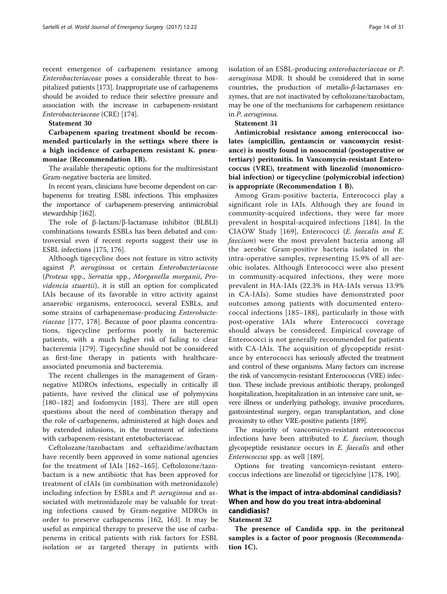recent emergence of carbapenem resistance among Enterobacteriaceae poses a considerable threat to hospitalized patients [\[173\]](#page-27-0). Inappropriate use of carbapenems

should be avoided to reduce their selective pressure and association with the increase in carbapenem-resistant Enterobacteriaceae (CRE) [[174](#page-27-0)].

# Statement 30

Carbapenem sparing treatment should be recommended particularly in the settings where there is a high incidence of carbapenem resistant K. pneumoniae (Recommendation 1B).

The available therapeutic options for the multiresistant Gram-negative bacteria are limited.

In recent years, clinicians have become dependent on carbapenems for treating ESBL infections. This emphasizes the importance of carbapenem-preserving antimicrobial stewardship [[162\]](#page-27-0).

The role of β-lactam/β-lactamase inhibitor (BLBLI) combinations towards ESBLs has been debated and controversial even if recent reports suggest their use in ESBL infections [[175](#page-27-0), [176](#page-27-0)].

Although tigecycline does not feature in vitro activity against P. aeruginosa or certain Enterobacteriaceae (Proteus spp., Serratia spp., Morganella morganii, Providencia stuartii), it is still an option for complicated IAIs because of its favorable in vitro activity against anaerobic organisms, enterococci, several ESBLs, and some strains of carbapenemase-producing Enterobacteriaceae [[177, 178](#page-27-0)]. Because of poor plasma concentrations, tigecycline performs poorly in bacteremic patients, with a much higher risk of failing to clear bacteremia [[179\]](#page-27-0). Tigecycline should not be considered as first-line therapy in patients with healthcareassociated pneumonia and bacteremia.

The recent challenges in the management of Gramnegative MDROs infections, especially in critically ill patients, have revived the clinical use of polymyxins [[180](#page-28-0)–[182](#page-28-0)] and fosfomycin [\[183](#page-28-0)]. There are still open questions about the need of combination therapy and the role of carbapenems, administered at high doses and by extended infusions, in the treatment of infections with carbapenem-resistant entetobacteriaceae.

Ceftolozane/tazobactam and ceftazidime/avibactam have recently been approved in some national agencies for the treatment of IAIs [[162](#page-27-0)–[165\]](#page-27-0). Ceftolozone/tazobactam is a new antibiotic that has been approved for treatment of cIAIs (in combination with metronidazole) including infection by ESBLs and P. aeruginosa and associated with metronidazole may be valuable for treating infections caused by Gram-negative MDROs in order to preserve carbapenems [[162, 163](#page-27-0)]. It may be useful as empirical therapy to preserve the use of carbapenems in critical patients with risk factors for ESBL isolation or as targeted therapy in patients with isolation of an ESBL-producing enterobacteriaceae or P. aeruginosa MDR. It should be considered that in some countries, the production of metallo-β-lactamases enzymes, that are not inactivated by ceftolozane/tazobactam, may be one of the mechanisms for carbapenem resistance in P. aeruginosa.

## Statement 31

Antimicrobial resistance among enterococcal isolates (ampicillin, gentamcin or vancomycin resistance) is mostly found in nosocomial (postoperative or tertiary) peritonitis. In Vancomycin-resistant Enterococcus (VRE), treatment with linezolid (monomicrobial infection) or tigecycline (polymicrobial infection) is appropriate (Recommendation 1 B).

Among Gram-positive bacteria, Enterococci play a significant role in IAIs. Although they are found in community-acquired infections, they were far more prevalent in hospital-acquired infections [\[184\]](#page-28-0). In the CIAOW Study [[169](#page-27-0)], Enterococci (E. faecalis and E. faecium) were the most prevalent bacteria among all the aerobic Gram-positive bacteria isolated in the intra-operative samples, representing 15.9% of all aerobic isolates. Although Enterococci were also present in community-acquired infections, they were more prevalent in HA-IAIs (22.3% in HA-IAIs versus 13.9% in CA-IAIs). Some studies have demonstrated poor outcomes among patients with documented enterococcal infections [\[185](#page-28-0)–[188](#page-28-0)], particularly in those with post-operative IAIs where Enterococci coverage should always be considered. Empirical coverage of Enterococci is not generally recommended for patients with CA-IAIs. The acquisition of glycopeptide resistance by enterococci has seriously affected the treatment and control of these organisms. Many factors can increase the risk of vancomycin-resistant Enterococcus (VRE) infection. These include previous antibiotic therapy, prolonged hospitalization, hospitalization in an intensive care unit, severe illness or underlying pathology, invasive procedures, gastrointestinal surgery, organ transplantation, and close proximity to other VRE-positive patients [[189\]](#page-28-0).

The majority of vancomicyn-resistant enterococcus infections have been attributed to E. faecium, though glycopeptide resistance occurs in E. faecalis and other Enterococcus spp. as well [\[189](#page-28-0)].

Options for treating vancomicyn-resistant enterococcus infections are linezolid or tigeciclyine [\[178,](#page-27-0) [190\]](#page-28-0).

# What is the impact of intra-abdominal candidiasis? When and how do you treat intra-abdominal candidiasis?

#### Statement 32

The presence of Candida spp. in the peritoneal samples is a factor of poor prognosis (Recommendation 1C).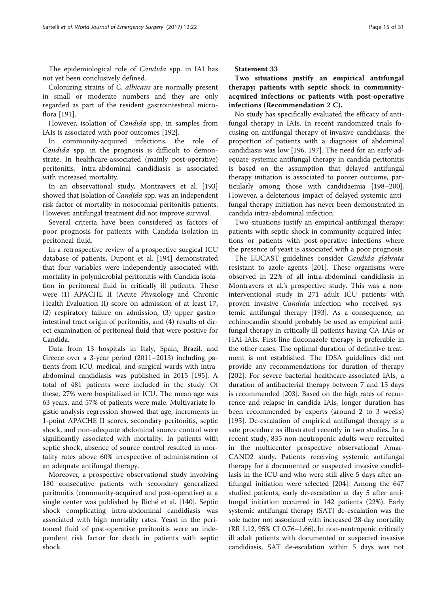The epidemiological role of Candida spp. in IAI has not yet been conclusively defined.

Colonizing strains of C. albicans are normally present in small or moderate numbers and they are only regarded as part of the resident gastrointestinal microflora [\[191](#page-28-0)].

However, isolation of *Candida* spp. in samples from IAIs is associated with poor outcomes [[192\]](#page-28-0).

In community-acquired infections, the role of Candida spp. in the prognosis is difficult to demonstrate. In healthcare-associated (mainly post-operative) peritonitis, intra-abdominal candidiasis is associated with increased mortality.

In an observational study, Montravers et al. [[193](#page-28-0)] showed that isolation of *Candida* spp. was an independent risk factor of mortality in nosocomial peritonitis patients. However, antifungal treatment did not improve survival.

Several criteria have been considered as factors of poor prognosis for patients with Candida isolation in peritoneal fluid.

In a retrospective review of a prospective surgical ICU database of patients, Dupont et al. [\[194\]](#page-28-0) demonstrated that four variables were independently associated with mortality in polymicrobial peritonitis with Candida isolation in peritoneal fluid in critically ill patients. These were (1) APACHE II (Acute Physiology and Chronic Health Evaluation II) score on admission of at least 17, (2) respiratory failure on admission, (3) upper gastrointestinal tract origin of peritonitis, and (4) results of direct examination of peritoneal fluid that were positive for Candida.

Data from 13 hospitals in Italy, Spain, Brazil, and Greece over a 3-year period (2011–2013) including patients from ICU, medical, and surgical wards with intraabdominal candidiasis was published in 2015 [[195](#page-28-0)]. A total of 481 patients were included in the study. Of these, 27% were hospitalized in ICU. The mean age was 63 years, and 57% of patients were male. Multivariate logistic analysis regression showed that age, increments in 1-point APACHE II scores, secondary peritonitis, septic shock, and non-adequate abdominal source control were significantly associated with mortality. In patients with septic shock, absence of source control resulted in mortality rates above 60% irrespective of administration of an adequate antifungal therapy.

Moreover, a prospective observational study involving 180 consecutive patients with secondary generalized peritonitis (community-acquired and post-operative) at a single center was published by Riché et al. [\[140\]](#page-26-0). Septic shock complicating intra-abdominal candidiasis was associated with high mortality rates. Yeast in the peritoneal fluid of post-operative peritonitis were an independent risk factor for death in patients with septic shock.

Statement 33

Two situations justify an empirical antifungal therapy: patients with septic shock in communityacquired infections or patients with post-operative infections (Recommendation 2 C).

No study has specifically evaluated the efficacy of antifungal therapy in IAIs. In recent randomized trials focusing on antifungal therapy of invasive candidiasis, the proportion of patients with a diagnosis of abdominal candidiasis was low [[196, 197\]](#page-28-0). The need for an early adequate systemic antifungal therapy in candida peritonitis is based on the assumption that delayed antifungal therapy initiation is associated to poorer outcome, particularly among those with candidaemia [[198](#page-28-0)–[200](#page-28-0)]. However, a deleterious impact of delayed systemic antifungal therapy initiation has never been demonstrated in candida intra-abdominal infection.

Two situations justify an empirical antifungal therapy: patients with septic shock in community-acquired infections or patients with post-operative infections where the presence of yeast is associated with a poor prognosis.

The EUCAST guidelines consider Candida glabrata resistant to azole agents [[201\]](#page-28-0). These organisms were observed in 22% of all intra-abdominal candidiasis in Montravers et al.'s prospective study. This was a noninterventional study in 271 adult ICU patients with proven invasive *Candida* infection who received systemic antifungal therapy [[193\]](#page-28-0). As a consequence, an echinocandin should probably be used as empirical antifungal therapy in critically ill patients having CA-IAIs or HAI-IAIs. First-line fluconazole therapy is preferable in the other cases. The optimal duration of definitive treatment is not established. The IDSA guidelines did not provide any recommendations for duration of therapy [[202\]](#page-28-0). For severe bacterial healthcare-associated IAIs, a duration of antibacterial therapy between 7 and 15 days is recommended [\[203\]](#page-28-0). Based on the high rates of recurrence and relapse in candida IAIs, longer duration has been recommended by experts (around 2 to 3 weeks) [[195\]](#page-28-0). De-escalation of empirical antifungal therapy is a safe procedure as illustrated recently in two studies. In a recent study, 835 non-neutropenic adults were recruited in the multicenter prospective observational Amar-CAND2 study. Patients receiving systemic antifungal therapy for a documented or suspected invasive candidiasis in the ICU and who were still alive 5 days after antifungal initiation were selected [\[204](#page-28-0)]. Among the 647 studied patients, early de-escalation at day 5 after antifungal initiation occurred in 142 patients (22%). Early systemic antifungal therapy (SAT) de-escalation was the sole factor not associated with increased 28-day mortality (RR 1.12, 95% CI 0.76–1.66). In non-neutropenic critically ill adult patients with documented or suspected invasive candidiasis, SAT de-escalation within 5 days was not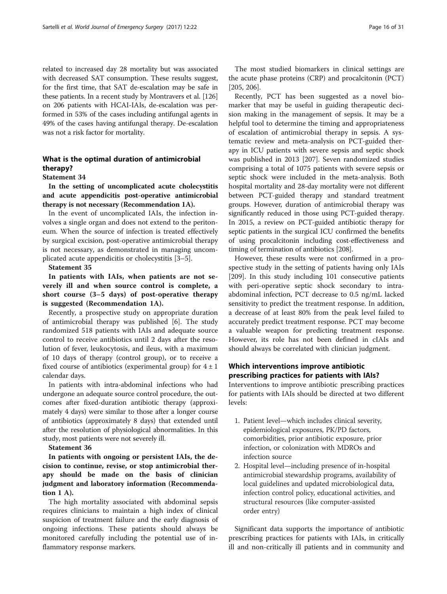related to increased day 28 mortality but was associated with decreased SAT consumption. These results suggest, for the first time, that SAT de-escalation may be safe in these patients. In a recent study by Montravers et al. [\[126](#page-26-0)] on 206 patients with HCAI-IAIs, de-escalation was performed in 53% of the cases including antifungal agents in 49% of the cases having antifungal therapy. De-escalation was not a risk factor for mortality.

# What is the optimal duration of antimicrobial therapy?

#### Statement 34

In the setting of uncomplicated acute cholecystitis and acute appendicitis post-operative antimicrobial therapy is not necessary (Recommendation 1A).

In the event of uncomplicated IAIs, the infection involves a single organ and does not extend to the peritoneum. When the source of infection is treated effectively by surgical excision, post-operative antimicrobial therapy is not necessary, as demonstrated in managing uncomplicated acute appendicitis or cholecystitis [[3](#page-24-0)–[5](#page-24-0)].

#### Statement 35

In patients with IAIs, when patients are not severely ill and when source control is complete, a short course (3–5 days) of post-operative therapy is suggested (Recommendation 1A).

Recently, a prospective study on appropriate duration of antimicrobial therapy was published [\[6](#page-24-0)]. The study randomized 518 patients with IAIs and adequate source control to receive antibiotics until 2 days after the resolution of fever, leukocytosis, and ileus, with a maximum of 10 days of therapy (control group), or to receive a fixed course of antibiotics (experimental group) for  $4 \pm 1$ calendar days.

In patients with intra-abdominal infections who had undergone an adequate source control procedure, the outcomes after fixed-duration antibiotic therapy (approximately 4 days) were similar to those after a longer course of antibiotics (approximately 8 days) that extended until after the resolution of physiological abnormalities. In this study, most patients were not severely ill.

#### Statement 36

In patients with ongoing or persistent IAIs, the decision to continue, revise, or stop antimicrobial therapy should be made on the basis of clinician judgment and laboratory information (Recommendation 1 A).

The high mortality associated with abdominal sepsis requires clinicians to maintain a high index of clinical suspicion of treatment failure and the early diagnosis of ongoing infections. These patients should always be monitored carefully including the potential use of inflammatory response markers.

The most studied biomarkers in clinical settings are the acute phase proteins (CRP) and procalcitonin (PCT) [[205, 206](#page-28-0)].

Recently, PCT has been suggested as a novel biomarker that may be useful in guiding therapeutic decision making in the management of sepsis. It may be a helpful tool to determine the timing and appropriateness of escalation of antimicrobial therapy in sepsis. A systematic review and meta-analysis on PCT-guided therapy in ICU patients with severe sepsis and septic shock was published in 2013 [\[207\]](#page-28-0). Seven randomized studies comprising a total of 1075 patients with severe sepsis or septic shock were included in the meta-analysis. Both hospital mortality and 28-day mortality were not different between PCT-guided therapy and standard treatment groups. However, duration of antimicrobial therapy was significantly reduced in those using PCT-guided therapy. In 2015, a review on PCT-guided antibiotic therapy for septic patients in the surgical ICU confirmed the benefits of using procalcitonin including cost-effectiveness and timing of termination of antibiotics [\[208](#page-28-0)].

However, these results were not confirmed in a prospective study in the setting of patients having only IAIs [[209\]](#page-28-0). In this study including 101 consecutive patients with peri-operative septic shock secondary to intraabdominal infection, PCT decrease to 0.5 ng/mL lacked sensitivity to predict the treatment response. In addition, a decrease of at least 80% from the peak level failed to accurately predict treatment response. PCT may become a valuable weapon for predicting treatment response. However, its role has not been defined in cIAIs and should always be correlated with clinician judgment.

# Which interventions improve antibiotic prescribing practices for patients with IAIs?

Interventions to improve antibiotic prescribing practices for patients with IAIs should be directed at two different levels:

- 1. Patient level—which includes clinical severity, epidemiological exposures, PK/PD factors, comorbidities, prior antibiotic exposure, prior infection, or colonization with MDROs and infection source
- 2. Hospital level—including presence of in-hospital antimicrobial stewardship programs, availability of local guidelines and updated microbiological data, infection control policy, educational activities, and structural resources (like computer-assisted order entry)

Significant data supports the importance of antibiotic prescribing practices for patients with IAIs, in critically ill and non-critically ill patients and in community and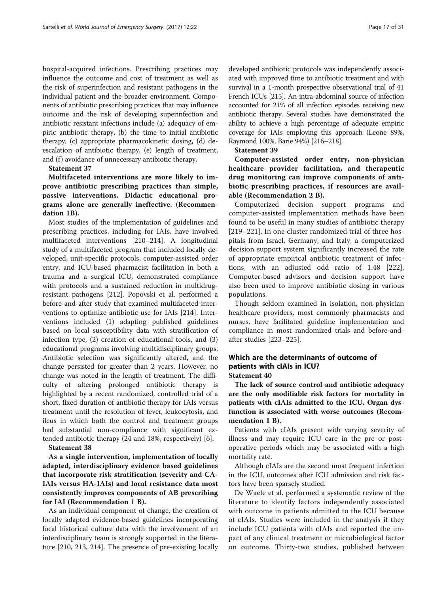hospital-acquired infections. Prescribing practices may influence the outcome and cost of treatment as well as the risk of superinfection and resistant pathogens in the individual patient and the broader environment. Components of antibiotic prescribing practices that may influence outcome and the risk of developing superinfection and antibiotic resistant infections include (a) adequacy of empiric antibiotic therapy, (b) the time to initial antibiotic therapy, (c) appropriate pharmacokinetic dosing, (d) deescalation of antibiotic therapy, (e) length of treatment, and (f) avoidance of unnecessary antibiotic therapy.

#### Statement 37

Multifaceted interventions are more likely to improve antibiotic prescribing practices than simple, passive interventions. Didactic educational programs alone are generally ineffective. (Recommendation 1B).

Most studies of the implementation of guidelines and prescribing practices, including for IAIs, have involved multifaceted interventions [\[210](#page-28-0)–[214\]](#page-28-0). A longitudinal study of a multifaceted program that included locally developed, unit-specific protocols, computer-assisted order entry, and ICU-based pharmacist facilitation in both a trauma and a surgical ICU, demonstrated compliance with protocols and a sustained reduction in multidrugresistant pathogens [[212](#page-28-0)]. Popovski et al. performed a before-and-after study that examined multifaceted interventions to optimize antibiotic use for IAIs [[214](#page-28-0)]. Interventions included (1) adapting published guidelines based on local susceptibility data with stratification of infection type, (2) creation of educational tools, and (3) educational programs involving multidisciplinary groups. Antibiotic selection was significantly altered, and the change persisted for greater than 2 years. However, no change was noted in the length of treatment. The difficulty of altering prolonged antibiotic therapy is highlighted by a recent randomized, controlled trial of a short, fixed duration of antibiotic therapy for IAIs versus treatment until the resolution of fever, leukocytosis, and ileus in which both the control and treatment groups had substantial non-compliance with significant extended antibiotic therapy (24 and 18%, respectively) [[6\]](#page-24-0).

#### Statement 38

As a single intervention, implementation of locally adapted, interdisciplinary evidence based guidelines that incorporate risk stratification (severity and CA-IAIs versus HA-IAIs) and local resistance data most consistently improves components of AB prescribing for IAI (Recommendation 1 B).

As an individual component of change, the creation of locally adapted evidence-based guidelines incorporating local historical culture data with the involvement of an interdisciplinary team is strongly supported in the literature [[210](#page-28-0), [213, 214\]](#page-28-0). The presence of pre-existing locally

developed antibiotic protocols was independently associated with improved time to antibiotic treatment and with survival in a 1-month prospective observational trial of 41 French ICUs [\[215](#page-28-0)]. An intra-abdominal source of infection accounted for 21% of all infection episodes receiving new antibiotic therapy. Several studies have demonstrated the ability to achieve a high percentage of adequate empiric coverage for IAIs employing this approach (Leone 89%, Raymond 100%, Barie 94%) [[216](#page-28-0)–[218\]](#page-28-0).

# Statement 39

Computer-assisted order entry, non-physician healthcare provider facilitation, and therapeutic drug monitoring can improve components of antibiotic prescribing practices, if resources are available (Recommendation 2 B).

Computerized decision support programs and computer-assisted implementation methods have been found to be useful in many studies of antibiotic therapy [[219](#page-28-0)–[221](#page-28-0)]. In one cluster randomized trial of three hospitals from Israel, Germany, and Italy, a computerized decision support system significantly increased the rate of appropriate empirical antibiotic treatment of infections, with an adjusted odd ratio of 1.48 [\[222](#page-28-0)]. Computer-based advisors and decision support have also been used to improve antibiotic dosing in various populations.

Though seldom examined in isolation, non-physician healthcare providers, most commonly pharmacists and nurses, have facilitated guideline implementation and compliance in most randomized trials and before-andafter studies [[223](#page-28-0)–[225\]](#page-29-0).

# Which are the determinants of outcome of patients with cIAIs in ICU? Statement 40

The lack of source control and antibiotic adequacy are the only modifiable risk factors for mortality in patients with cIAIs admitted to the ICU. Organ dysfunction is associated with worse outcomes (Recommendation 1 B).

Patients with cIAIs present with varying severity of illness and may require ICU care in the pre or postoperative periods which may be associated with a high mortality rate.

Although cIAIs are the second most frequent infection in the ICU, outcomes after ICU admission and risk factors have been sparsely studied.

De Waele et al. performed a systematic review of the literature to identify factors independently associated with outcome in patients admitted to the ICU because of cIAIs. Studies were included in the analysis if they include ICU patients with cIAIs and reported the impact of any clinical treatment or microbiological factor on outcome. Thirty-two studies, published between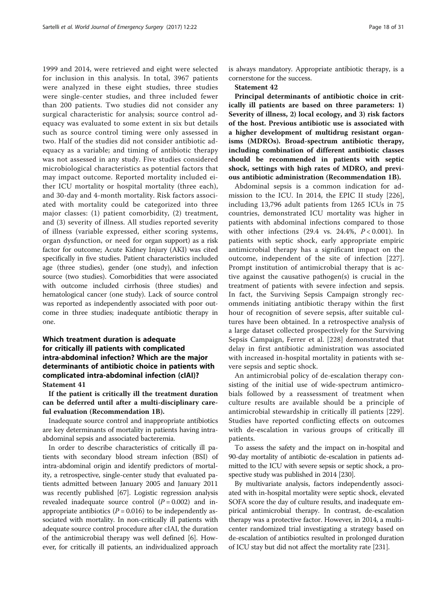1999 and 2014, were retrieved and eight were selected for inclusion in this analysis. In total, 3967 patients were analyzed in these eight studies, three studies were single-center studies, and three included fewer than 200 patients. Two studies did not consider any surgical characteristic for analysis; source control adequacy was evaluated to some extent in six but details such as source control timing were only assessed in two. Half of the studies did not consider antibiotic adequacy as a variable; and timing of antibiotic therapy was not assessed in any study. Five studies considered microbiological characteristics as potential factors that may impact outcome. Reported mortality included either ICU mortality or hospital mortality (three each), and 30-day and 4-month mortality. Risk factors associated with mortality could be categorized into three major classes: (1) patient comorbidity, (2) treatment, and (3) severity of illness. All studies reported severity of illness (variable expressed, either scoring systems, organ dysfunction, or need for organ support) as a risk factor for outcome; Acute Kidney Injury (AKI) was cited specifically in five studies. Patient characteristics included age (three studies), gender (one study), and infection source (two studies). Comorbidities that were associated with outcome included cirrhosis (three studies) and hematological cancer (one study). Lack of source control was reported as independently associated with poor outcome in three studies; inadequate antibiotic therapy in one.

# Which treatment duration is adequate for critically ill patients with complicated intra-abdominal infection? Which are the major determinants of antibiotic choice in patients with complicated intra-abdominal infection (cIAI)? Statement 41

If the patient is critically ill the treatment duration can be deferred until after a multi-disciplinary careful evaluation (Recommendation 1B).

Inadequate source control and inappropriate antibiotics are key determinants of mortality in patients having intraabdominal sepsis and associated bacteremia.

In order to describe characteristics of critically ill patients with secondary blood stream infection (BSI) of intra-abdominal origin and identify predictors of mortality, a retrospective, single-center study that evaluated patients admitted between January 2005 and January 2011 was recently published [\[67\]](#page-25-0). Logistic regression analysis revealed inadequate source control  $(P = 0.002)$  and inappropriate antibiotics ( $P = 0.016$ ) to be independently associated with mortality. In non-critically ill patients with adequate source control procedure after cIAI, the duration of the antimicrobial therapy was well defined [\[6](#page-24-0)]. However, for critically ill patients, an individualized approach

is always mandatory. Appropriate antibiotic therapy, is a cornerstone for the success.

#### Statement 42

Principal determinants of antibiotic choice in critically ill patients are based on three parameters: 1) Severity of illness, 2) local ecology, and 3) risk factors of the host. Previous antibiotic use is associated with a higher development of multidrug resistant organisms (MDROs). Broad-spectrum antibiotic therapy, including combination of different antibiotic classes should be recommended in patients with septic shock, settings with high rates of MDRO, and previous antibiotic administration (Recommendation 1B).

Abdominal sepsis is a common indication for admission to the ICU. In 2014, the EPIC II study [\[226](#page-29-0)], including 13,796 adult patients from 1265 ICUs in 75 countries, demonstrated ICU mortality was higher in patients with abdominal infections compared to those with other infections  $(29.4 \text{ vs. } 24.4\%, P < 0.001)$ . In patients with septic shock, early appropriate empiric antimicrobial therapy has a significant impact on the outcome, independent of the site of infection [\[227](#page-29-0)]. Prompt institution of antimicrobial therapy that is active against the causative pathogen(s) is crucial in the treatment of patients with severe infection and sepsis. In fact, the Surviving Sepsis Campaign strongly recommends initiating antibiotic therapy within the first hour of recognition of severe sepsis, after suitable cultures have been obtained. In a retrospective analysis of a large dataset collected prospectively for the Surviving Sepsis Campaign, Ferrer et al. [\[228](#page-29-0)] demonstrated that delay in first antibiotic administration was associated with increased in-hospital mortality in patients with severe sepsis and septic shock.

An antimicrobial policy of de-escalation therapy consisting of the initial use of wide-spectrum antimicrobials followed by a reassessment of treatment when culture results are available should be a principle of antimicrobial stewardship in critically ill patients [\[229](#page-29-0)]. Studies have reported conflicting effects on outcomes with de-escalation in various groups of critically ill patients.

To assess the safety and the impact on in-hospital and 90-day mortality of antibiotic de-escalation in patients admitted to the ICU with severe sepsis or septic shock, a prospective study was published in 2014 [\[230](#page-29-0)].

By multivariate analysis, factors independently associated with in-hospital mortality were septic shock, elevated SOFA score the day of culture results, and inadequate empirical antimicrobial therapy. In contrast, de-escalation therapy was a protective factor. However, in 2014, a multicenter randomized trial investigating a strategy based on de-escalation of antibiotics resulted in prolonged duration of ICU stay but did not affect the mortality rate [[231](#page-29-0)].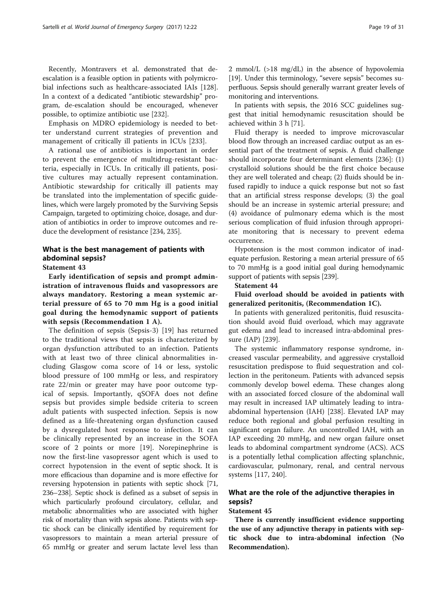Recently, Montravers et al. demonstrated that deescalation is a feasible option in patients with polymicrobial infections such as healthcare-associated IAIs [\[128](#page-26-0)]. In a context of a dedicated "antibiotic stewardship" program, de-escalation should be encouraged, whenever possible, to optimize antibiotic use [[232\]](#page-29-0).

Emphasis on MDRO epidemiology is needed to better understand current strategies of prevention and management of critically ill patients in ICUs [[233](#page-29-0)].

A rational use of antibiotics is important in order to prevent the emergence of multidrug-resistant bacteria, especially in ICUs. In critically ill patients, positive cultures may actually represent contamination. Antibiotic stewardship for critically ill patients may be translated into the implementation of specific guidelines, which were largely promoted by the Surviving Sepsis Campaign, targeted to optimizing choice, dosage, and duration of antibiotics in order to improve outcomes and reduce the development of resistance [\[234, 235\]](#page-29-0).

# What is the best management of patients with abdominal sepsis?

# Statement 43

Early identification of sepsis and prompt administration of intravenous fluids and vasopressors are always mandatory. Restoring a mean systemic arterial pressure of 65 to 70 mm Hg is a good initial goal during the hemodynamic support of patients with sepsis (Recommendation 1 A).

The definition of sepsis (Sepsis-3) [[19\]](#page-24-0) has returned to the traditional views that sepsis is characterized by organ dysfunction attributed to an infection. Patients with at least two of three clinical abnormalities including Glasgow coma score of 14 or less, systolic blood pressure of 100 mmHg or less, and respiratory rate 22/min or greater may have poor outcome typical of sepsis. Importantly, qSOFA does not define sepsis but provides simple bedside criteria to screen adult patients with suspected infection. Sepsis is now defined as a life-threatening organ dysfunction caused by a dysregulated host response to infection. It can be clinically represented by an increase in the SOFA score of 2 points or more [[19\]](#page-24-0). Norepinephrine is now the first-line vasopressor agent which is used to correct hypotension in the event of septic shock. It is more efficacious than dopamine and is more effective for reversing hypotension in patients with septic shock [[71](#page-25-0), [236](#page-29-0)–[238](#page-29-0)]. Septic shock is defined as a subset of sepsis in which particularly profound circulatory, cellular, and metabolic abnormalities who are associated with higher risk of mortality than with sepsis alone. Patients with septic shock can be clinically identified by requirement for vasopressors to maintain a mean arterial pressure of 65 mmHg or greater and serum lactate level less than 2 mmol/L (>18 mg/dL) in the absence of hypovolemia [[19](#page-24-0)]. Under this terminology, "severe sepsis" becomes superfluous. Sepsis should generally warrant greater levels of monitoring and interventions.

In patients with sepsis, the 2016 SCC guidelines suggest that initial hemodynamic resuscitation should be achieved within 3 h [\[71\]](#page-25-0).

Fluid therapy is needed to improve microvascular blood flow through an increased cardiac output as an essential part of the treatment of sepsis. A fluid challenge should incorporate four determinant elements [[236](#page-29-0)]: (1) crystalloid solutions should be the first choice because they are well tolerated and cheap; (2) fluids should be infused rapidly to induce a quick response but not so fast that an artificial stress response develops; (3) the goal should be an increase in systemic arterial pressure; and (4) avoidance of pulmonary edema which is the most serious complication of fluid infusion through appropriate monitoring that is necessary to prevent edema occurrence.

Hypotension is the most common indicator of inadequate perfusion. Restoring a mean arterial pressure of 65 to 70 mmHg is a good initial goal during hemodynamic support of patients with sepsis [[239](#page-29-0)].

#### Statement 44

Fluid overload should be avoided in patients with generalized peritonitis, (Recommendation 1C).

In patients with generalized peritonitis, fluid resuscitation should avoid fluid overload, which may aggravate gut edema and lead to increased intra-abdominal pressure (IAP) [\[239\]](#page-29-0).

The systemic inflammatory response syndrome, increased vascular permeability, and aggressive crystalloid resuscitation predispose to fluid sequestration and collection in the peritoneum. Patients with advanced sepsis commonly develop bowel edema. These changes along with an associated forced closure of the abdominal wall may result in increased IAP ultimately leading to intraabdominal hypertension (IAH) [[238](#page-29-0)]. Elevated IAP may reduce both regional and global perfusion resulting in significant organ failure. An uncontrolled IAH, with an IAP exceeding 20 mmHg, and new organ failure onset leads to abdominal compartment syndrome (ACS). ACS is a potentially lethal complication affecting splanchnic, cardiovascular, pulmonary, renal, and central nervous systems [\[117](#page-26-0), [240\]](#page-29-0).

# What are the role of the adjunctive therapies in sepsis?

## Statement 45

There is currently insufficient evidence supporting the use of any adjunctive therapy in patients with septic shock due to intra-abdominal infection (No Recommendation).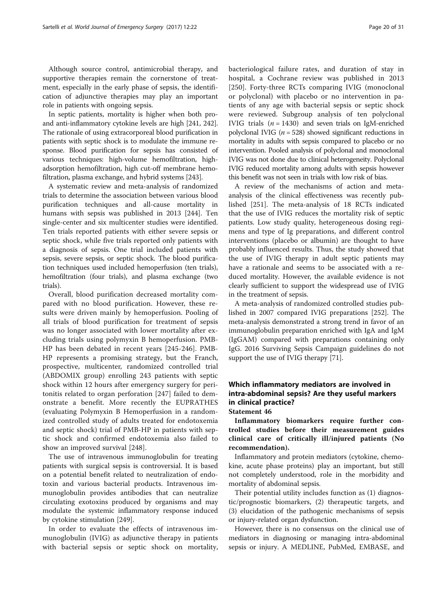Although source control, antimicrobial therapy, and supportive therapies remain the cornerstone of treatment, especially in the early phase of sepsis, the identification of adjunctive therapies may play an important role in patients with ongoing sepsis.

In septic patients, mortality is higher when both proand anti-inflammatory cytokine levels are high [\[241, 242](#page-29-0)]. The rationale of using extracorporeal blood purification in patients with septic shock is to modulate the immune response. Blood purification for sepsis has consisted of various techniques: high-volume hemofiltration, highadsorption hemofiltration, high cut-off membrane hemofiltration, plasma exchange, and hybrid systems [[243](#page-29-0)].

A systematic review and meta-analysis of randomized trials to determine the association between various blood purification techniques and all-cause mortality in humans with sepsis was published in 2013 [\[244](#page-29-0)]. Ten single-center and six multicenter studies were identified. Ten trials reported patients with either severe sepsis or septic shock, while five trials reported only patients with a diagnosis of sepsis. One trial included patients with sepsis, severe sepsis, or septic shock. The blood purification techniques used included hemoperfusion (ten trials), hemofiltration (four trials), and plasma exchange (two trials).

Overall, blood purification decreased mortality compared with no blood purification. However, these results were driven mainly by hemoperfusion. Pooling of all trials of blood purification for treatment of sepsis was no longer associated with lower mortality after excluding trials using polymyxin B hemoperfusion. PMB-HP has been debated in recent years [\[245](#page-29-0)-[246\]](#page-29-0). PMB-HP represents a promising strategy, but the Franch, prospective, multicenter, randomized controlled trial (ABDOMIX group) enrolling 243 patients with septic shock within 12 hours after emergency surgery for peritonitis related to organ perforation [[247\]](#page-29-0) failed to demonstrate a benefit. More recently the EUPRATHES (evaluating Polymyxin B Hemoperfusion in a randomized controlled study of adults treated for endotoxemia and septic shock) trial of PMB-HP in patients with septic shock and confirmed endotoxemia also failed to show an improved survival [[248](#page-29-0)].

The use of intravenous immunoglobulin for treating patients with surgical sepsis is controversial. It is based on a potential benefit related to neutralization of endotoxin and various bacterial products. Intravenous immunoglobulin provides antibodies that can neutralize circulating exotoxins produced by organisms and may modulate the systemic inflammatory response induced by cytokine stimulation [[249](#page-29-0)].

In order to evaluate the effects of intravenous immunoglobulin (IVIG) as adjunctive therapy in patients with bacterial sepsis or septic shock on mortality,

bacteriological failure rates, and duration of stay in hospital, a Cochrane review was published in 2013 [[250\]](#page-29-0). Forty-three RCTs comparing IVIG (monoclonal or polyclonal) with placebo or no intervention in patients of any age with bacterial sepsis or septic shock were reviewed. Subgroup analysis of ten polyclonal IVIG trials  $(n = 1430)$  and seven trials on IgM-enriched polyclonal IVIG ( $n = 528$ ) showed significant reductions in mortality in adults with sepsis compared to placebo or no intervention. Pooled analysis of polyclonal and monoclonal IVIG was not done due to clinical heterogeneity. Polyclonal IVIG reduced mortality among adults with sepsis however this benefit was not seen in trials with low risk of bias.

A review of the mechanisms of action and metaanalysis of the clinical effectiveness was recently published [\[251\]](#page-29-0). The meta-analysis of 18 RCTs indicated that the use of IVIG reduces the mortality risk of septic patients. Low study quality, heterogeneous dosing regimens and type of Ig preparations, and different control interventions (placebo or albumin) are thought to have probably influenced results. Thus, the study showed that the use of IVIG therapy in adult septic patients may have a rationale and seems to be associated with a reduced mortality. However, the available evidence is not clearly sufficient to support the widespread use of IVIG in the treatment of sepsis.

A meta-analysis of randomized controlled studies published in 2007 compared IVIG preparations [[252\]](#page-29-0). The meta-analysis demonstrated a strong trend in favor of an immunoglobulin preparation enriched with IgA and IgM (IgGAM) compared with preparations containing only IgG. 2016 Surviving Sepsis Campaign guidelines do not support the use of IVIG therapy [[71](#page-25-0)].

# Which inflammatory mediators are involved in intra-abdominal sepsis? Are they useful markers in clinical practice?

Statement 46

Inflammatory biomarkers require further controlled studies before their measurement guides clinical care of critically ill/injured patients (No recommendation).

Inflammatory and protein mediators (cytokine, chemokine, acute phase proteins) play an important, but still not completely understood, role in the morbidity and mortality of abdominal sepsis.

Their potential utility includes function as (1) diagnostic/prognostic biomarkers, (2) therapeutic targets, and (3) elucidation of the pathogenic mechanisms of sepsis or injury-related organ dysfunction.

However, there is no consensus on the clinical use of mediators in diagnosing or managing intra-abdominal sepsis or injury. A MEDLINE, PubMed, EMBASE, and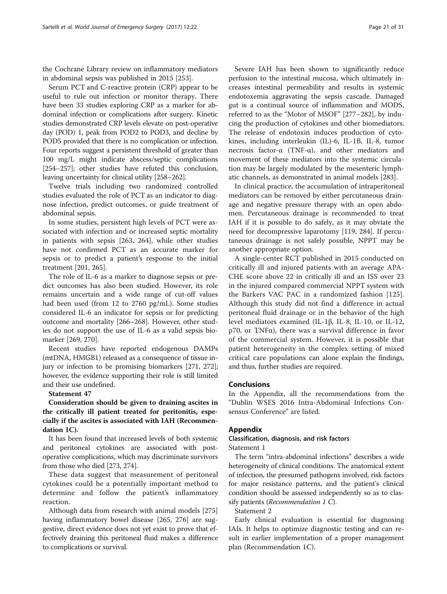the Cochrane Library review on inflammatory mediators in abdominal sepsis was published in 2015 [\[253\]](#page-29-0).

Serum PCT and C-reactive protein (CRP) appear to be useful to rule out infection or monitor therapy. There have been 33 studies exploring CRP as a marker for abdominal infection or complications after surgery. Kinetic studies demonstrated CRP levels elevate on post-operative day (POD) 1, peak from POD2 to POD3, and decline by POD5 provided that there is no complication or infection. Four reports suggest a persistent threshold of greater than 100 mg/L might indicate abscess/septic complications [[254](#page-29-0)–[257\]](#page-29-0); other studies have refuted this conclusion, leaving uncertainty for clinical utility [[258](#page-29-0)–[262](#page-29-0)].

Twelve trials including two randomized controlled studies evaluated the role of PCT as an indicator to diagnose infection, predict outcomes, or guide treatment of abdominal sepsis.

In some studies, persistent high levels of PCT were associated with infection and or increased septic mortality in patients with sepsis [[263](#page-29-0), [264](#page-29-0)], while other studies have not confirmed PCT as an accurate marker for sepsis or to predict a patient's response to the initial treatment [[201,](#page-28-0) [265](#page-29-0)].

The role of IL-6 as a marker to diagnose sepsis or predict outcomes has also been studied. However, its role remains uncertain and a wide range of cut-off values had been used (from 12 to 2760 pg/mL). Some studies considered IL-6 an indicator for sepsis or for predicting outcome and mortality [\[266](#page-29-0)–[268\]](#page-29-0). However, other studies do not support the use of IL-6 as a valid sepsis biomarker [\[269,](#page-29-0) [270\]](#page-30-0).

Recent studies have reported endogenous DAMPs (mtDNA, HMGB1) released as a consequence of tissue injury or infection to be promising biomarkers [\[271, 272](#page-30-0)]; however, the evidence supporting their role is still limited and their use undefined.

#### Statement 47

Consideration should be given to draining ascites in the critically ill patient treated for peritonitis, especially if the ascites is associated with IAH (Recommendation 1C).

It has been found that increased levels of both systemic and peritoneal cytokines are associated with postoperative complications, which may discriminate survivors from those who died [\[273, 274\]](#page-30-0).

These data suggest that measurement of peritoneal cytokines could be a potentially important method to determine and follow the patient's inflammatory reaction.

Although data from research with animal models [[275](#page-30-0)] having inflammatory bowel disease [\[265,](#page-29-0) [276](#page-30-0)] are suggestive, direct evidence does not yet exist to prove that effectively draining this peritoneal fluid makes a difference to complications or survival.

Severe IAH has been shown to significantly reduce perfusion to the intestinal mucosa, which ultimately increases intestinal permeability and results in systemic endotoxemia aggravating the sepsis cascade. Damaged gut is a continual source of inflammation and MODS, referred to as the "Motor of MSOF" [[277](#page-30-0)–[282](#page-30-0)], by inducing the production of cytokines and other biomediators. The release of endotoxin induces production of cytokines, including interleukin (IL)-6, IL-1B, IL-8, tumor necrosis factor-α (TNF-α), and other mediators and movement of these mediators into the systemic circulation may be largely modulated by the mesenteric lymphatic channels, as demonstrated in animal models [\[283\]](#page-30-0).

In clinical practice, the accumulation of intraperitoneal mediators can be removed by either percutaneous drainage and negative pressure therapy with an open abdomen. Percutaneous drainage is recommended to treat IAH if it is possible to do safely, as it may obviate the need for decompressive laparotomy [[119](#page-26-0), [284\]](#page-30-0). If percutaneous drainage is not safely possible, NPPT may be another appropriate option.

A single-center RCT published in 2015 conducted on critically ill and injured patients with an average APA-CHE score above 22 in critically ill and an ISS over 23 in the injured compared commercial NPPT system with the Barkers VAC PAC in a randomized fashion [\[125](#page-26-0)]. Although this study did not find a difference in actual peritoneal fluid drainage or in the behavior of the high level mediators examined (IL-1β, IL-8, IL-10, or IL-12, p70, or TNFα), there was a survival difference in favor of the commercial system. However, it is possible that patient heterogeneity in the complex setting of mixed critical care populations can alone explain the findings, and thus, further studies are required.

#### Conclusions

In the Appendix, all the recommendations from the "Dublin WSES 2016 Intra-Abdominal Infections Consensus Conference" are listed.

# Appendix

# Classification, diagnosis, and risk factors

Statement 1

The term "intra-abdominal infections" describes a wide heterogeneity of clinical conditions. The anatomical extent of infection, the presumed pathogens involved, risk factors for major resistance patterns, and the patient's clinical condition should be assessed independently so as to classify patients (Recommendation 1 C).

Statement 2

Early clinical evaluation is essential for diagnosing IAIs. It helps to optimize diagnostic testing and can result in earlier implementation of a proper management plan (Recommendation 1C).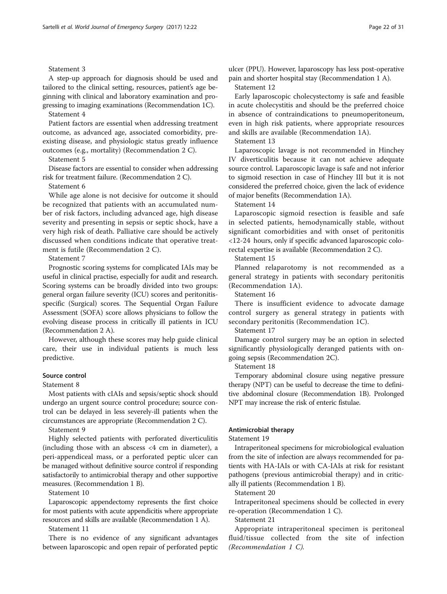# Statement 3

A step-up approach for diagnosis should be used and tailored to the clinical setting, resources, patient's age beginning with clinical and laboratory examination and progressing to imaging examinations (Recommendation 1C).

Statement 4

Patient factors are essential when addressing treatment outcome, as advanced age, associated comorbidity, preexisting disease, and physiologic status greatly influence outcomes (e.g., mortality) (Recommendation 2 C).

Statement 5

Disease factors are essential to consider when addressing risk for treatment failure. (Recommendation 2 C).

#### Statement 6

While age alone is not decisive for outcome it should be recognized that patients with an accumulated number of risk factors, including advanced age, high disease severity and presenting in sepsis or septic shock, have a very high risk of death. Palliative care should be actively discussed when conditions indicate that operative treatment is futile (Recommendation 2 C).

Statement 7

Prognostic scoring systems for complicated IAIs may be useful in clinical practise, especially for audit and research. Scoring systems can be broadly divided into two groups: general organ failure severity (ICU) scores and peritonitisspecific (Surgical) scores. The Sequential Organ Failure Assessment (SOFA) score allows physicians to follow the evolving disease process in critically ill patients in ICU (Recommendation 2 A).

However, although these scores may help guide clinical care, their use in individual patients is much less predictive.

#### Source control

Statement 8

Most patients with cIAIs and sepsis/septic shock should undergo an urgent source control procedure; source control can be delayed in less severely-ill patients when the circumstances are appropriate (Recommendation 2 C).

Statement 9

Highly selected patients with perforated diverticulitis (including those with an abscess <4 cm in diameter), a peri-appendiceal mass, or a perforated peptic ulcer can be managed without definitive source control if responding satisfactorily to antimicrobial therapy and other supportive measures. (Recommendation 1 B).

Statement 10

Laparoscopic appendectomy represents the first choice for most patients with acute appendicitis where appropriate resources and skills are available (Recommendation 1 A).

Statement 11

There is no evidence of any significant advantages between laparoscopic and open repair of perforated peptic

ulcer (PPU). However, laparoscopy has less post-operative pain and shorter hospital stay (Recommendation 1 A).

Statement 12

Early laparoscopic cholecystectomy is safe and feasible in acute cholecystitis and should be the preferred choice in absence of contraindications to pneumoperitoneum, even in high risk patients, where appropriate resources and skills are available (Recommendation 1A).

Statement 13

Laparoscopic lavage is not recommended in Hinchey IV diverticulitis because it can not achieve adequate source control. Laparoscopic lavage is safe and not inferior to sigmoid resection in case of Hinchey III but it is not considered the preferred choice, given the lack of evidence of major benefits (Recommendation 1A).

Statement 14

Laparoscopic sigmoid resection is feasible and safe in selected patients, hemodynamically stable, without significant comorbidities and with onset of peritonitis <12-24 hours, only if specific advanced laparoscopic colorectal expertise is available (Recommendation 2 C).

Statement 15

Planned relaparotomy is not recommended as a general strategy in patients with secondary peritonitis (Recommendation 1A).

Statement 16

There is insufficient evidence to advocate damage control surgery as general strategy in patients with secondary peritonitis (Recommendation 1C).

Statement 17

Damage control surgery may be an option in selected significantly physiologically deranged patients with ongoing sepsis (Recommendation 2C).

Statement 18

Temporary abdominal closure using negative pressure therapy (NPT) can be useful to decrease the time to definitive abdominal closure (Recommendation 1B). Prolonged NPT may increase the risk of enteric fistulae.

# Antimicrobial therapy

# Statement 19

Intraperitoneal specimens for microbiological evaluation from the site of infection are always recommended for patients with HA-IAIs or with CA-IAIs at risk for resistant pathogens (previous antimicrobial therapy) and in critically ill patients (Recommendation 1 B).

Statement 20

Intraperitoneal specimens should be collected in every re-operation (Recommendation 1 C).

Statement 21

Appropriate intraperitoneal specimen is peritoneal fluid/tissue collected from the site of infection (Recommendation 1 C).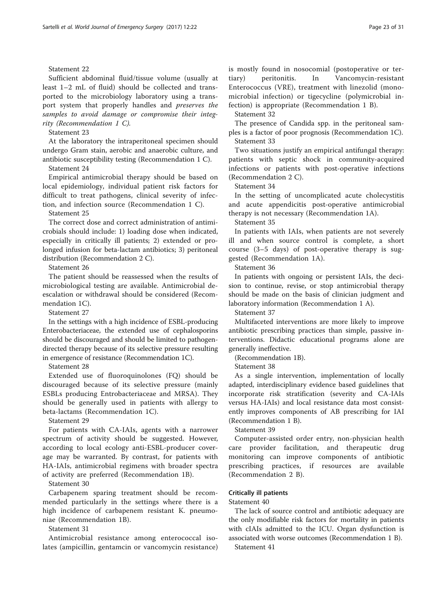# Statement 22

Sufficient abdominal fluid/tissue volume (usually at least 1–2 mL of fluid) should be collected and transported to the microbiology laboratory using a transport system that properly handles and preserves the samples to avoid damage or compromise their integrity (Recommendation 1 C).

#### Statement 23

At the laboratory the intraperitoneal specimen should undergo Gram stain, aerobic and anaerobic culture, and antibiotic susceptibility testing (Recommendation 1 C).

Statement 24

Empirical antimicrobial therapy should be based on local epidemiology, individual patient risk factors for difficult to treat pathogens, clinical severity of infection, and infection source (Recommendation 1 C).

Statement 25

The correct dose and correct administration of antimicrobials should include: 1) loading dose when indicated, especially in critically ill patients; 2) extended or prolonged infusion for beta-lactam antibiotics; 3) peritoneal distribution (Recommendation 2 C).

Statement 26

The patient should be reassessed when the results of microbiological testing are available. Antimicrobial deescalation or withdrawal should be considered (Recommendation 1C).

Statement 27

In the settings with a high incidence of ESBL-producing Enterobacteriaceae, the extended use of cephalosporins should be discouraged and should be limited to pathogendirected therapy because of its selective pressure resulting in emergence of resistance (Recommendation 1C).

Statement 28

Extended use of fluoroquinolones (FQ) should be discouraged because of its selective pressure (mainly ESBLs producing Entrobacteriaceae and MRSA). They should be generally used in patients with allergy to beta-lactams (Recommendation 1C).

# Statement 29

For patients with CA-IAIs, agents with a narrower spectrum of activity should be suggested. However, according to local ecology anti-ESBL-producer coverage may be warranted. By contrast, for patients with HA-IAIs, antimicrobial regimens with broader spectra of activity are preferred (Recommendation 1B).

Statement 30

Carbapenem sparing treatment should be recommended particularly in the settings where there is a high incidence of carbapenem resistant K. pneumoniae (Recommendation 1B).

Statement 31

Antimicrobial resistance among enterococcal isolates (ampicillin, gentamcin or vancomycin resistance) is mostly found in nosocomial (postoperative or tertiary) peritonitis. In Vancomycin-resistant Enterococcus (VRE), treatment with linezolid (monomicrobial infection) or tigecycline (polymicrobial infection) is appropriate (Recommendation 1 B).

Statement 32

The presence of Candida spp. in the peritoneal samples is a factor of poor prognosis (Recommendation 1C). Statement 33

Two situations justify an empirical antifungal therapy: patients with septic shock in community-acquired infections or patients with post-operative infections (Recommendation 2 C).

Statement 34

In the setting of uncomplicated acute cholecystitis and acute appendicitis post-operative antimicrobial therapy is not necessary (Recommendation 1A).

Statement 35

In patients with IAIs, when patients are not severely ill and when source control is complete, a short course (3–5 days) of post-operative therapy is suggested (Recommendation 1A).

Statement 36

In patients with ongoing or persistent IAIs, the decision to continue, revise, or stop antimicrobial therapy should be made on the basis of clinician judgment and laboratory information (Recommendation 1 A).

Statement 37

Multifaceted interventions are more likely to improve antibiotic prescribing practices than simple, passive interventions. Didactic educational programs alone are generally ineffective.

(Recommendation 1B).

Statement 38

As a single intervention, implementation of locally adapted, interdisciplinary evidence based guidelines that incorporate risk stratification (severity and CA-IAIs versus HA-IAIs) and local resistance data most consistently improves components of AB prescribing for IAI (Recommendation 1 B).

Statement 39

Computer-assisted order entry, non-physician health care provider facilitation, and therapeutic drug monitoring can improve components of antibiotic prescribing practices, if resources are available (Recommendation 2 B).

# Critically ill patients

#### Statement 40

The lack of source control and antibiotic adequacy are the only modifiable risk factors for mortality in patients with cIAIs admitted to the ICU. Organ dysfunction is associated with worse outcomes (Recommendation 1 B). Statement 41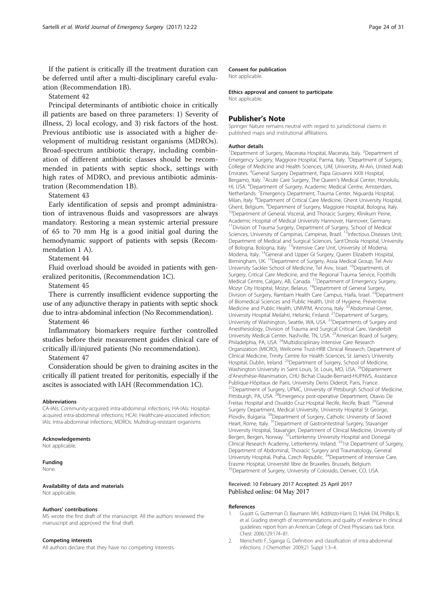<span id="page-23-0"></span>If the patient is critically ill the treatment duration can be deferred until after a multi-disciplinary careful evaluation (Recommendation 1B).

Statement 42

Principal determinants of antibiotic choice in critically ill patients are based on three parameters: 1) Severity of illness, 2) local ecology, and 3) risk factors of the host. Previous antibiotic use is associated with a higher development of multidrug resistant organisms (MDROs). Broad-spectrum antibiotic therapy, including combination of different antibiotic classes should be recommended in patients with septic shock, settings with high rates of MDRO, and previous antibiotic administration (Recommendation 1B).

#### Statement 43

Early identification of sepsis and prompt administration of intravenous fluids and vasopressors are always mandatory. Restoring a mean systemic arterial pressure of 65 to 70 mm Hg is a good initial goal during the hemodynamic support of patients with sepsis (Recommendation 1 A).

Statement 44

Fluid overload should be avoided in patients with generalized peritonitis, (Recommendation 1C).

Statement 45

There is currently insufficient evidence supporting the use of any adjunctive therapy in patients with septic shock due to intra-abdominal infection (No Recommendation).

Statement 46

Inflammatory biomarkers require further controlled studies before their measurement guides clinical care of critically ill/injured patients (No recommendation).

#### Statement 47

Consideration should be given to draining ascites in the critically ill patient treated for peritonitis, especially if the ascites is associated with IAH (Recommendation 1C).

#### Abbreviations

CA-IAIs: Community-acquired intra-abdominal infections; HA-IAIs: Hospitalacquired intra-abdominal infections; HCAI: Healthcare-associated infection; IAIs: Intra-abdominal infections; MDROs: Multidrug-resistant organisms

#### Acknowledgements

Not applicable.

#### Funding

None.

#### Availability of data and materials Not applicable.

#### Authors' contributions

MS wrote the first draft of the manuscript. All the authors reviewed the manuscript and approved the final draft.

#### Competing interests

All authors declare that they have no competing interests.

#### Consent for publication

Not applicable.

#### Ethics approval and consent to participate

Not applicable.

#### Publisher's Note

Springer Nature remains neutral with regard to jurisdictional claims in published maps and institutional affiliations.

#### Author details

<sup>1</sup>Department of Surgery, Macerata Hospital, Macerata, Italy. <sup>2</sup>Department of Emergency Surgery, Maggiore Hospital, Parma, Italy. <sup>3</sup>Department of Surgery, College of Medicine and Health Sciences, UAE University, Al-Ain, United Arab Emirates. <sup>4</sup> General Surgery Department, Papa Giovanni XXIII Hospital, Bergamo, Italy. <sup>5</sup> Acute Care Surgery, The Queen's Medical Center, Honolulu, HI, USA. <sup>6</sup>Department of Surgery, Academic Medical Centre, Amsterdam Netherlands. <sup>7</sup> Emergency Department, Trauma Center, Niguarda Hospital Milan, Italy. <sup>8</sup>Department of Critical Care Medicine, Ghent University Hospital, Ghent, Belgium. <sup>9</sup>Department of Surgery, Maggiore Hospital, Bologna, Italy. <sup>10</sup>Department of General, Visceral, and Thoracic Surgery, Klinikum Peine, Academic Hospital of Medical University Hannover, Hannover, Germany. <sup>11</sup>Division of Trauma Surgery, Department of Surgery, School of Medical Sciences, University of Campinas, Campinas, Brazil. <sup>12</sup>Infectious Diseases Unit, Department of Medical and Surgical Sciences, Sant'Orsola Hospital, University of Bologna, Bologna, Italy. <sup>13</sup>Intensive Care Unit, University of Modena, Modena, Italy. 14General and Upper GI Surgery, Queen Elizabeth Hospital, Birmingham, UK.<sup>15</sup>Department of Surgery, Assia Medical Group, Tel Aviv University Sackler School of Medicine, Tel Aviv, Israel. <sup>16</sup>Departments of Surgery, Critical Care Medicine, and the Regional Trauma Service, Foothills Medical Centre, Calgary, AB, Canada. 17Department of Emergency Surgery, Mozyr City Hospital, Mozyr, Belarus. 18Department of General Surgery, Division of Surgery, Rambam Health Care Campus, Haifa, Israel. <sup>19</sup>Department of Biomedical Sciences and Public Health, Unit of Hygiene, Preventive Medicine and Public Health, UNIVPM, Ancona, Italy.<sup>20</sup>Abdominal Center, University Hospital Meilahti, Helsinki, Finland. <sup>21</sup>Department of Surgery, University of Washington, Seattle, WA, USA.<sup>22</sup>Departments of Surgery and Anesthesiology, Division of Trauma and Surgical Critical Care, Vanderbilt University Medical Center, Nashville, TN, USA. 23American Board of Surgery, Philadelphia, PA, USA. <sup>24</sup>Multidisciplinary Intensive Care Research Organization (MICRO), Wellcome Trust-HRB Clinical Research, Department of Clinical Medicine, Trinity Centre for Health Sciences, St James's University Hospital, Dublin, Ireland. <sup>25</sup>Department of Surgery, School of Medicine, Washington University in Saint Louis, St. Louis, MO, USA. <sup>26</sup>Département d'Anesthésie-Réanimation, CHU Bichat Claude-Bernard-HUPNVS, Assistance Publique-Hôpitaux de Paris, University Denis Diderot, Paris, France. <sup>27</sup>Department of Surgery, UPMC, University of Pittsburgh School of Medicine, Pittsburgh, PA, USA.<sup>28</sup>Emergency post-operative Department, Otavio De Freitas Hospital and Osvaldo Cruz Hospital Recife, Recife, Brazil. <sup>29</sup>General Surgery Department, Medical University, University Hospital St George, Plovdiv, Bulgaria. <sup>30</sup>Department of Surgery, Catholic University of Sacred Heart, Rome, Italy. 31Department of Gastrointestinal Surgery, Stavanger University Hospital, Stavanger, Department of Clinical Medicine, University of Bergen, Bergen, Norway. <sup>32</sup>Letterkenny University Hospital and Donegal Clinical Research Academy, Letterkenny, Ireland. 331st Department of Surgery, Department of Abdominal, Thoracic Surgery and Traumatology, General University Hospital, Praha, Czech Republic.<sup>34</sup>Department of Intensive Care, Erasme Hospital, Université libre de Bruxelles, Brussels, Belgium. <sup>35</sup>Department of Surgery, University of Colorado, Denver, CO, USA.

#### Received: 10 February 2017 Accepted: 25 April 2017 Published online: 04 May 2017

#### References

- 1. Guyatt G, Gutterman D, Baumann MH, Addrizzo-Harris D, Hylek EM, Phillips B, et al. Grading strength of recommendations and quality of evidence in clinical guidelines: report from an American College of Chest Physicians task force. Chest. 2006;129:174–81.
- 2. Menichetti F, Sganga G. Definition and classification of intra-abdominal infections. J Chemother. 2009;21 Suppl 1:3–4.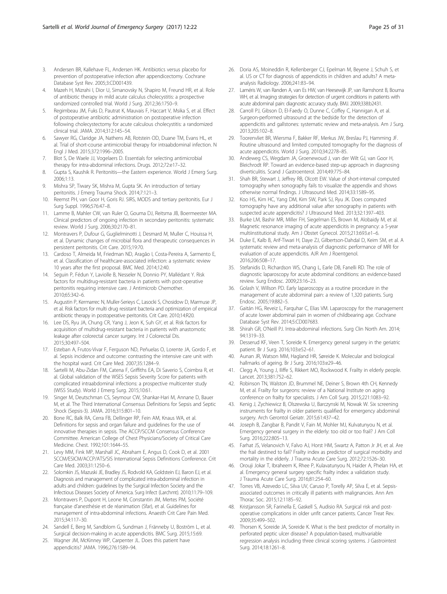- <span id="page-24-0"></span>3. Andersen BR, Kallehave FL, Andersen HK. Antibiotics versus placebo for prevention of postoperative infection after appendicectomy. Cochrane Database Syst Rev. 2005;3:CD001439.
- 4. Mazeh H, Mizrahi I, Dior U, Simanovsky N, Shapiro M, Freund HR, et al. Role of antibiotic therapy in mild acute calculus cholecystitis: a prospective randomized controlled trial. World J Surg. 2012;36:1750–9.
- Regimbeau JM, Fuks D, Pautrat K, Mauvais F, Haccart V, Msika S, et al. Effect of postoperative antibiotic administration on postoperative infection following cholecystectomy for acute calculous cholecystitis: a randomized clinical trial. JAMA. 2014;312:145–54.
- 6. Sawyer RG, Claridge JA, Nathens AB, Rotstein OD, Duane TM, Evans HL, et al. Trial of short-course antimicrobial therapy for intraabdominal infection. N Engl J Med. 2015;372:1996–2005.
- 7. Blot S, De Waele JJ, Vogelaers D. Essentials for selecting antimicrobial therapy for intra-abdominal infections. Drugs. 2012;72:e17–32.
- 8. Gupta S, Kaushik R. Peritonitis-the Eastern experience. World J Emerg Surg. 2006;1:13.
- 9. Mishra SP, Tiwary SK, Mishra M, Gupta SK. An introduction of tertiary peritonitis. J Emerg Trauma Shock. 2014;7:121–3.
- 10. Reemst PH, van Goor H, Goris RJ. SIRS, MODS and tertiary peritonitis. Eur J Surg Suppl. 1996;576:47–8.
- 11. Lamme B, Mahler CW, van Ruler O, Gouma DJ, Reitsma JB, Boermeester MA. Clinical predictors of ongoing infection in secondary peritonitis: systematic review. World J Surg. 2006;30:2170–81.
- 12. Montravers P, Dufour G, Guglielminotti J, Desmard M, Muller C, Houissa H, et al. Dynamic changes of microbial flora and therapeutic consequences in persistent peritonitis. Crit Care. 2015;19:70.
- 13. Cardoso T, Almeida M, Friedman ND, Aragão I, Costa-Pereira A, Sarmento E, et al. Classification of healthcare-associated infection: a systematic review 10 years after the first proposal. BMC Med. 2014;12:40.
- 14. Seguin P, Fédun Y, Laviolle B, Nesseler N, Donnio PY, Mallédant Y. Risk factors for multidrug-resistant bacteria in patients with post-operative peritonitis requiring intensive care. J Antimicrob Chemother. 2010;65:342–6.
- 15. Augustin P, Kermarrec N, Muller-Serieys C, Lasocki S, Chosidow D, Marmuse JP, et al. Risk factors for multi drug resistant bacteria and optimization of empirical antibiotic therapy in postoperative peritonitis. Crit Care. 2010;14:R20.
- 16. Lee DS, Ryu JA, Chung CR, Yang J, Jeon K, Suh GY, et al. Risk factors for acquisition of multidrug-resistant bacteria in patients with anastomotic leakage after colorectal cancer surgery. Int J Colorectal Dis. 2015;30:497–504.
- 17. Esteban A, Frutos-Vivar F, Ferguson ND, Peñuelas O, Lorente JA, Gordo F, et al. Sepsis incidence and outcome: contrasting the intensive care unit with the hospital ward. Crit Care Med. 2007;35:1284–9.
- 18. Sartelli M, Abu-Zidan FM, Catena F, Griffiths EA, Di Saverio S, Coimbra R, et al. Global validation of the WSES Sepsis Severity Score for patients with complicated intraabdominal infections: a prospective multicenter study (WISS Study). World J Emerg Surg. 2015;10:61.
- 19. Singer M, Deutschman CS, Seymour CW, Shankar-Hari M, Annane D, Bauer M, et al. The Third International Consensus Definitions for Sepsis and Septic Shock (Sepsis-3). JAMA. 2016;315:801–10.
- 20. Bone RC, Balk RA, Cerra FB, Dellinger RP, Fein AM, Knaus WA, et al. Definitions for sepsis and organ failure and guidelines for the use of innovative therapies in sepsis. The ACCP/SCCM Consensus Conference Committee. American College of Chest Physicians/Society of Critical Care Medicine. Chest. 1992;101:1644–55.
- 21. Levy MM, Fink MP, Marshall JC, Abraham E, Angus D, Cook D, et al. 2001 SCCM/ESICM/ACCP/ATS/SIS International Sepsis Definitions Conference. Crit Care Med. 2003;31:1250–6.
- 22. Solomkin JS, Mazuski JE, Bradley JS, Rodvold KA, Goldstein EJ, Baron EJ, et al. Diagnosis and management of complicated intra-abdominal infection in adults and children: guidelines by the Surgical Infection Society and the Infectious Diseases Society of America. Surg Infect (Larchmt). 2010;11:79–109.
- 23. Montravers P, Dupont H, Leone M, Constantin JM, Mertes PM, Société française d'anesthésie et de réanimation (Sfar), et al. Guidelines for management of intra-abdominal infections. Anaesth Crit Care Pain Med. 2015;34:117–30.
- 24. Sandell E, Berg M, Sandblom G, Sundman J, Fränneby U, Boström L, et al. Surgical decision-making in acute appendicitis. BMC Surg. 2015;15:69.
- 25. Wagner JM, McKinney WP, Carpenter JL. Does this patient have appendicitis? JAMA. 1996;276:1589–94.
- 26. Doria AS, Moineddin R, Kellenberger CJ, Epelman M, Beyene J, Schuh S, et al. US or CT for diagnosis of appendicitis in children and adults? A metaanalysis Radiology. 2006;241:83–94.
- 27. Laméris W, van Randen A, van Es HW, van Heesewijk JP, van Ramshorst B, Bouma WH, et al. Imaging strategies for detection of urgent conditions in patients with acute abdominal pain: diagnostic accuracy study. BMJ. 2009;338:b2431.
- 28. Carroll PJ, Gibson D, El-Faedy O, Dunne C, Coffey C, Hannigan A, et al. Surgeon-performed ultrasound at the bedside for the detection of appendicitis and gallstones: systematic review and meta-analysis. Am J Surg. 2013;205:102–8.
- 29. Toorenvliet BR, Wiersma F, Bakker RF, Merkus JW, Breslau PJ, Hamming JF. Routine ultrasound and limited computed tomography for the diagnosis of acute appendicitis. World J Surg. 2010;34:2278–85.
- 30. Andeweg CS, Wegdam JA, Groenewoud J, van der Wilt GJ, van Goor H, Bleichrodt RP. Toward an evidence-based step-up approach in diagnosing diverticulitis. Scand J Gastroenterol. 2014;49:775–84.
- 31. Shah BR, Stewart J, Jeffrey RB, Olcott EW. Value of short-interval computed tomography when sonography fails to visualize the appendix and shows otherwise normal findings. J Ultrasound Med. 2014;33:1589–95.
- 32. Koo HS, Kim HC, Yang DM, Kim SW, Park SJ, Ryu JK. Does computed tomography have any additional value after sonography in patients with suspected acute appendicitis? J Ultrasound Med. 2013;32:1397–403.
- 33. Burke LM, Bashir MR, Miller FH, Siegelman ES, Brown M, Alobaidy M, et al. Magnetic resonance imaging of acute appendicitis in pregnancy: a 5-year multiinstitutional study. Am J Obstet Gynecol. 2015;213:693.e1–6.
- 34. Duke E, Kalb B, Arif-Tiwari H, Daye ZJ, Gilbertson-Dahdal D, Keim SM, et al. A systematic review and meta-analysis of diagnostic performance of MRI for evaluation of acute appendicitis. AJR Am J Roentgenol. 2016;206:508–17.
- 35. Stefanidis D, Richardson WS, Chang L, Earle DB, Fanelli RD. The role of diagnostic laparoscopy for acute abdominal conditions: an evidence-based review. Surg Endosc. 2009;23:16–23.
- 36. Golash V, Willson PD. Early laparoscopy as a routine procedure in the management of acute abdominal pain: a review of 1,320 patients. Surg Endosc. 2005;19:882–5.
- 37. Gaitán HG, Reveiz L, Farquhar C, Elias VM. Laparoscopy for the management of acute lower abdominal pain in women of childbearing age. Cochrane Database Syst Rev. 2014;5:CD007683.
- 38. Shirah GR, O'Neill PJ. Intra-abdominal infections. Surg Clin North Am. 2014; 94:1319–33.
- 39. Desserud KF, Veen T, Soreide K. Emergency general surgery in the geriatric patient. Br J Surg. 2016;103:e52–61.
- 40. Aunan JR, Watson MM, Hagland HR, Søreide K. Molecular and biological hallmarks of ageing. Br J Surg. 2016;103:e29–46.
- 41. Clegg A, Young J, Iliffe S, Rikkert MO, Rockwood K. Frailty in elderly people. Lancet. 2013;381:752–62.
- 42. Robinson TN, Walston JD, Brummel NE, Deiner S, Brown 4th CH, Kennedy M, et al. Frailty for surgeons: review of a National Institute on aging conference on frailty for specialists. J Am Coll Surg. 2015;221:1083–92.
- 43. Kenig J, Zychiewicz B, Olszewska U, Barczynski M, Nowak W. Six screening instruments for frailty in older patients qualified for emergency abdominal surgery. Arch Gerontol Geriatr. 2015;61:437–42.
- 44. Joseph B, Zangbar B, Pandit V, Fain M, Mohler MJ, Kulvatunyou N, et al. Emergency general surgery in the elderly: too old or too frail? J Am Coll Surg. 2016;222:805–13.
- 45. Farhat JS, Velanovich V, Falvo AJ, Horst HM, Swartz A, Patton Jr JH, et al. Are the frail destined to fail? Frailty index as predictor of surgical morbidity and mortality in the elderly. J Trauma Acute Care Surg. 2012;72:1526–30.
- 46. Orouji Jokar T, Ibraheem K, Rhee P, Kulavatunyou N, Haider A, Phelan HA, et al. Emergency general surgery specific frailty index: a validation study. J Trauma Acute Care Surg. 2016;81:254–60.
- 47. Torres VB, Azevedo LC, Silva UV, Caruso P, Torelly AP, Silva E, et al. Sepsisassociated outcomes in critically ill patients with malignancies. Ann Am Thorac Soc. 2015;12:1185–92.
- 48. Kristjansson SR, Farinella E, Gaskell S, Audisio RA. Surgical risk and postoperative complications in older unfit cancer patients. Cancer Treat Rev. 2009;35:499–502.
- 49. Thorsen K, Soreide JA, Soreide K. What is the best predictor of mortality in perforated peptic ulcer disease? A population-based, multivariable regression analysis including three clinical scoring systems. J Gastrointest Surg. 2014;18:1261–8.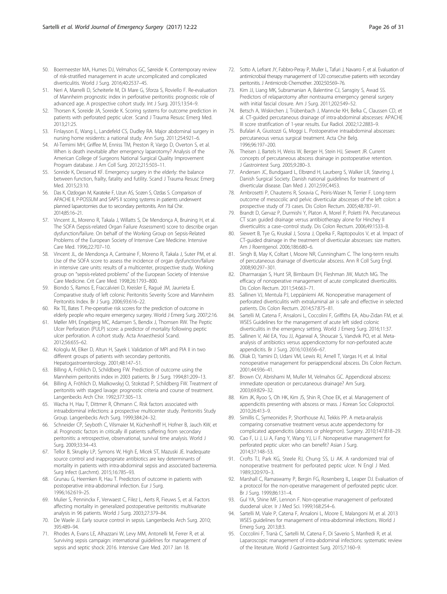- <span id="page-25-0"></span>50. Boermeester MA, Humes DJ, Velmahos GC, Søreide K. Contemporary review of risk-stratified management in acute uncomplicated and complicated diverticulitis. World J Surg. 2016;40:2537–45.
- 51. Neri A, Marrelli D, Scheiterle M, Di Mare G, Sforza S, Roviello F. Re-evaluation of Mannheim prognostic index in perforative peritonitis: prognostic role of advanced age. A prospective cohort study. Int J Surg. 2015;13:54–9.
- 52. Thorsen K, Soreide JA, Soreide K. Scoring systems for outcome prediction in patients with perforated peptic ulcer. Scand J Trauma Resusc Emerg Med. 2013;21:25.
- 53. Finlayson E, Wang L, Landefeld CS, Dudley RA. Major abdominal surgery in nursing home residents: a national study. Ann Surg. 2011;254:921–6.
- 54. Al-Temimi MH, Griffee M, Enniss TM, Preston R, Vargo D, Overton S, et al. When is death inevitable after emergency laparotomy? Analysis of the American College of Surgeons National Surgical Quality Improvement Program database. J Am Coll Surg. 2012;215:503–11.
- 55. Soreide K, Desserud KF. Emergency surgery in the elderly: the balance between function, frailty, fatality and futility. Scand J Trauma Resusc Emerg Med. 2015;23:10.
- 56. Das K, Ozdogan M, Karateke F, Uzun AS, Sozen S, Ozdas S. Comparison of APACHE II, P-POSSUM and SAPS II scoring systems in patients underwent planned laparotomies due to secondary peritonitis. Ann Ital Chir. 2014;85:16–21.
- 57. Vincent JL, Moreno R, Takala J, Willatts S, De Mendonça A, Bruining H, et al. The SOFA (Sepsis-related Organ Failure Assessment) score to describe organ dysfunction/failure. On behalf of the Working Group on Sepsis-Related Problems of the European Society of Intensive Care Medicine. Intensive Care Med. 1996;22:707–10.
- 58. Vincent JL, de Mendonça A, Cantraine F, Moreno R, Takala J, Suter PM, et al. Use of the SOFA score to assess the incidence of organ dysfunction/failure in intensive care units: results of a multicenter, prospective study. Working group on "sepsis-related problems" of the European Society of Intensive Care Medicine. Crit Care Med. 1998;26:1793–800.
- 59. Biondo S, Ramos E, Fraccalvieri D, Kreisler E, Ragué JM, Jaurrieta E. Comparative study of left colonic Peritonitis Severity Score and Mannheim Peritonitis Index. Br J Surg. 2006;93:616–22.
- 60. Rix TE, Bates T. Pre-operative risk scores for the prediction of outcome in elderly people who require emergency surgery. World J Emerg Surg. 2007;2:16.
- 61. Møller MH, Engebjerg MC, Adamsen S, Bendix J, Thomsen RW. The Peptic Ulcer Perforation (PULP) score: a predictor of mortality following peptic ulcer perforation. A cohort study. Acta Anaesthesiol Scand. 2012;56:655–62.
- 62. Kologlu M, Elker D, Altun H, Sayek I. Validation of MPI and PIA II in two different groups of patients with secondary peritonitis. Hepatogastroenterology. 2001;48:147–51.
- 63. Billing A, Fröhlich D, Schildberg FW. Prediction of outcome using the Mannheim peritonitis index in 2003 patients. Br J Surg. 1994;81:209–13.
- 64. Billing A, Fröhlich D, Mialkowskyj O, Stokstad P, Schildberg FW. Treatment of peritonitis with staged lavage: prognostic criteria and course of treatment. Langenbecks Arch Chir. 1992;377:305–13.
- 65. Wacha H, Hau T, Dittmer R, Ohmann C. Risk factors associated with intraabdominal infections: a prospective multicenter study. Peritonitis Study Group. Langenbecks Arch Surg. 1999;384:24–32.
- 66. Schneider CP, Seyboth C, Vilsmaier M, Küchenhoff H, Hofner B, Jauch KW, et al. Prognostic factors in critically ill patients suffering from secondary peritonitis: a retrospective, observational, survival time analysis. World J Surg. 2009;33:34–43.
- 67. Tellor B, Skrupky LP, Symons W, High E, Micek ST, Mazuski JE. Inadequate source control and inappropriate antibiotics are key determinants of mortality in patients with intra-abdominal sepsis and associated bacteremia. Surg Infect (Larchmt). 2015;16:785–93.
- 68. Grunau G, Heemken R, Hau T. Predictors of outcome in patients with postoperative intra-abdominal infection. Eur J Surg. 1996;162:619–25.
- 69. Mulier S, Penninckx F, Verwaest C, Filez L, Aerts R, Fieuws S, et al. Factors affecting mortality in generalized postoperative peritonitis: multivariate analysis in 96 patients. World J Surg. 2003;27:379–84.
- 70. De Waele JJ. Early source control in sepsis. Langenbecks Arch Surg. 2010; 395:489–94.
- 71. Rhodes A, Evans LE, Alhazzani W, Levy MM, Antonelli M, Ferrer R, et al. Surviving sepsis campaign: international guidelines for management of sepsis and septic shock: 2016. Intensive Care Med. 2017 Jan 18.
- 72. Sotto A, Lefrant JY, Fabbro-Peray P, Muller L, Tafuri J, Navarro F, et al. Evaluation of antimicrobial therapy management of 120 consecutive patients with secondary peritonitis. J Antimicrob Chemother. 2002;50:569–76.
- 73. Kim JJ, Liang MK, Subramanian A, Balentine CJ, Sansgiry S, Awad SS. Predictors of relaparotomy after nontrauma emergency general surgery with initial fascial closure. Am J Surg. 2011;202:549–52.
- 74. Betsch A, Wiskirchen J, Trübenbach J, Manncke KH, Belka C, Claussen CD, et al. CT-guided percutaneous drainage of intra-abdominal abscesses: APACHE III score stratification of 1-year results. Eur Radiol. 2002;12:2883–9.
- 75. Bufalari A, Giustozzi G, Moggi L. Postoperative intraabdominal abscesses: percutaneous versus surgical treatment. Acta Chir Belg. 1996;96:197–200.
- 76. Theisen J, Bartels H, Weiss W, Berger H, Stein HJ, Siewert JR. Current concepts of percutaneous abscess drainage in postoperative retention. J Gastrointest Surg. 2005;9:280–3.
- 77. Andersen JC, Bundgaard L, Elbrønd H, Laurberg S, Walker LR, Støvring J, Danish Surgical Society. Danish national guidelines for treatment of diverticular disease. Dan Med J. 2012;59:C4453.
- 78. Ambrosetti P, Chautems R, Soravia C, Peiris-Waser N, Terrier F. Long-term outcome of mesocolic and pelvic diverticular abscesses of the left colon: a prospective study of 73 cases. Dis Colon Rectum. 2005;48:787–91.
- 79. Brandt D, Gervaz P, Durmishi Y, Platon A, Morel P, Poletti PA. Percutaneous CT scan guided drainage versus antibiotherapy alone for Hinchey II diverticulitis: a case–control study. Dis Colon Rectum. 2006;49:1533–8.
- 80. Siewert B, Tye G, Kruskal J, Sosna J, Opelka F, Raptopoulos V, et al. Impact of CT-guided drainage in the treatment of diverticular abscesses: size matters. Am J Roentgenol. 2006;186:680–6.
- 81. Singh B, May K, Coltart I, Moore NR, Cunningham C. The long-term results of percutaneous drainage of diverticular abscess. Ann R Coll Surg Engl. 2008;90:297–301.
- 82. Dharmarajan S, Hunt SR, Birnbaum EH, Fleshman JW, Mutch MG. The efficacy of nonoperative management of acute complicated diverticulitis. Dis Colon Rectum. 2011;54:663–71.
- 83. Sallinen VJ, Mentula PJ, Leppäniemi AK. Nonoperative management of perforated diverticulitis with extraluminal air is safe and effective in selected patients. Dis Colon Rectum. 2014;57:875–81.
- 84. Sartelli M, Catena F, Ansaloni L, Coccolini F, Griffiths EA, Abu-Zidan FM, et al. WSES Guidelines for the management of acute left sided colonic diverticulitis in the emergency setting. World J Emerg Surg. 2016;11:37.
- 85. Sallinen V, Akl EA, You JJ, Agarwal A, Shoucair S, Vandvik PO, et al. Metaanalysis of antibiotics versus appendicectomy for non-perforated acute appendicitis. Br J Surg. 2016;103:656–67.
- 86. Oliak D, Yamini D, Udani VM, Lewis RJ, Arnell T, Vargas H, et al. Initial nonoperative management for periappendiceal abscess. Dis Colon Rectum. 2001;44:936–41.
- 87. Brown CV, Abrishami M, Muller M, Velmahos GC. Appendiceal abscess: immediate operation or percutaneous drainage? Am Surg. 2003;69:829–32.
- 88. Kim JK, Ryoo S, Oh HK, Kim JS, Shin R, Choe EK, et al. Management of appendicitis presenting with abscess or mass. J Korean Soc Coloproctol. 2010;26:413–9.
- 89. Simillis C, Symeonides P, Shorthouse AJ, Tekkis PP. A meta-analysis comparing conservative treatment versus acute appendectomy for complicated appendicitis (abscess or phlegmon). Surgery. 2010;147:818–29.
- 90. Cao F, Li J, Li A, Fang Y, Wang YJ, Li F. Nonoperative management for perforated peptic ulcer: who can benefit? Asian J Surg. 2014;37:148–53.
- 91. Crofts TJ, Park KG, Steele RJ, Chung SS, Li AK. A randomized trial of nonoperative treatment for perforated peptic ulcer. N Engl J Med. 1989;320:970–3.
- 92. Marshall C, Ramaswamy P, Bergin FG, Rosenberg IL, Leaper DJ. Evaluation of a protocol for the non-operative management of perforated peptic ulcer. Br J Surg. 1999;86:131–4.
- 93. Gul YA, Shine MF, Lennon F. Non-operative management of perforated duodenal ulcer. Ir J Med Sci. 1999;168:254–6.
- 94. Sartelli M, Viale P, Catena F, Ansaloni L, Moore E, Malangoni M, et al. 2013 WSES guidelines for management of intra-abdominal infections. World J Emerg Surg. 2013;8:3.
- 95. Coccolini F, Tranà C, Sartelli M, Catena F, Di Saverio S, Manfredi R, et al. Laparoscopic management of intra-abdominal infections: systematic review of the literature. World J Gastrointest Surg. 2015;7:160–9.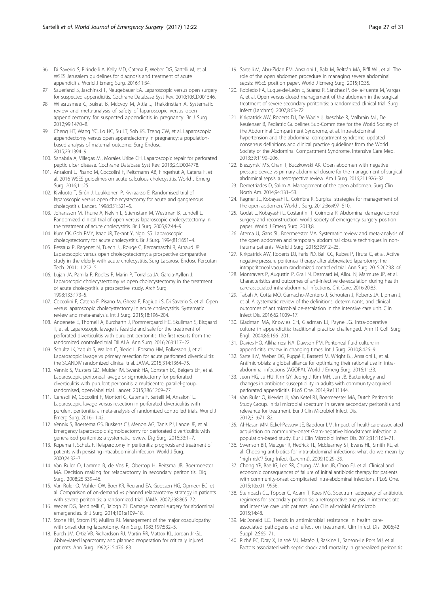- <span id="page-26-0"></span>96. Di Saverio S, Birindelli A, Kelly MD, Catena F, Weber DG, Sartelli M, et al. WSES Jerusalem guidelines for diagnosis and treatment of acute appendicitis. World J Emerg Surg. 2016;11:34.
- 97. Sauerland S, Jaschinski T, Neugebauer EA. Laparoscopic versus open surgery for suspected appendicitis. Cochrane Database Syst Rev. 2010;10:CD001546.
- 98. Wilasrusmee C, Sukrat B, McEvoy M, Attia J, Thakkinstian A. Systematic review and meta-analysis of safety of laparoscopic versus open appendicectomy for suspected appendicitis in pregnancy. Br J Surg. 2012;99:1470–8.
- 99. Cheng HT, Wang YC, Lo HC, Su LT, Soh KS, Tzeng CW, et al. Laparoscopic appendectomy versus open appendectomy in pregnancy: a populationbased analysis of maternal outcome. Surg Endosc. 2015;29:1394–9.
- 100. Sanabria A, Villegas MI, Morales Uribe CH. Laparoscopic repair for perforated peptic ulcer disease. Cochrane Database Syst Rev. 2013;2:CD004778.
- 101. Ansaloni L, Pisano M, Coccolini F, Peitzmann AB, Fingerhut A, Catena F, et al. 2016 WSES guidelines on acute calculous cholecystitis. World J Emerg Surg. 2016;11:25.
- 102. Kiviluoto T, Sirén J, Luukkonen P, Kivilaakso E. Randomised trial of laparoscopic versus open cholecystectomy for acute and gangrenous cholecystitis. Lancet. 1998;351:321–5.
- 103. Johansson M, Thune A, Nelvin L, Stiernstam M, Westman B, Lundell L. Randomized clinical trial of open versus laparoscopic cholecystectomy in the treatment of acute cholecystitis. Br J Surg. 2005;92:44–9.
- 104. Kum CK, Goh PMY, Isaac JR, Tekant Y, Ngoi SS. Laparoscopic cholecystectomy for acute cholecystitis. Br J Surg. 1994;81:1651–4.
- 105. Pessaux P, Regenet N, Tuech JJ, Rouge C, Bergamaschi R, Arnaud JP. Laparoscopic versus open cholecystectomy: a prospective comparative study in the elderly with acute cholecystitis. Surg Laparosc Endosc Percutan Tech. 2001;11:252–5.
- 106. Lujan JA, Parrilla P, Robles R, Marin P, Torralba JA, Garcia-Ayllon J. Laparoscopic cholecystectomy vs open cholecystectomy in the treatment of acute cholecystitis: a prospective study. Arch Surg. 1998;133:173–5.
- 107. Coccolini F, Catena F, Pisano M, Gheza F, Fagiuoli S, Di Saverio S, et al. Open versus laparoscopic cholecystectomy in acute cholecystitis. Systematic review and meta-analysis. Int J Surg. 2015;18:196–204.
- 108. Angenete E, Thornell A, Burcharth J, Pommergaard HC, Skullman S, Bisgaard T, et al. Laparoscopic lavage is feasible and safe for the treatment of perforated diverticulitis with purulent peritonitis: the first results from the randomized controlled trial DILALA. Ann Surg. 2016;263:117–22.
- 109. Schultz JK, Yaqub S, Wallon C, Blecic L, Forsmo HM, Folkesson J, et al. Laparoscopic lavage vs primary resection for acute perforated diverticulitis: the SCANDIV randomized clinical trial. JAMA. 2015;314:1364–75.
- 110. Vennix S, Musters GD, Mulder IM, Swank HA, Consten EC, Belgers EH, et al. Laparoscopic peritoneal lavage or sigmoidectomy for perforated diverticulitis with purulent peritonitis: a multicentre, parallel-group, randomised, open-label trial. Lancet. 2015;386:1269–77.
- 111. Ceresoli M, Coccolini F, Montori G, Catena F, Sartelli M, Ansaloni L. Laparoscopic lavage versus resection in perforated diverticulitis with purulent peritonitis: a meta-analysis of randomized controlled trials. World J Emerg Surg. 2016;11:42.
- 112. Vennix S, Boersema GS, Buskens CJ, Menon AG, Tanis PJ, Lange JF, et al. Emergency laparoscopic sigmoidectomy for perforated diverticulitis with generalised peritonitis: a systematic review. Dig Surg. 2016;33:1–7.
- 113. Koperna T, Schulz F. Relaparotomy in peritonitis: prognosis and treatment of patients with persisting intraabdominal infection. World J Surg. 2000;24:32–7.
- 114. Van Ruler O, Lamme B, de Vos R, Obertop H, Reitsma JB, Boermeester MA. Decision making for relaparotomy in secondary peritonitis. Dig Surg. 2008;25:339–46.
- 115. Van Ruler O, Mahler CW, Boer KR, Reuland EA, Gooszen HG, Opmeer BC, et al. Comparison of on-demand vs planned relaparotomy strategy in patients with severe peritonitis: a randomized trial. JAMA. 2007;298:865–72.
- 116. Weber DG, Bendinelli C, Balogh ZJ. Damage control surgery for abdominal emergencies. Br J Surg. 2014;101:e109–18.
- 117. Stone HH, Strom PR, Mullins RJ. Management of the major coagulopathy with onset during laparotomy. Ann Surg. 1983;197:532–5.
- 118. Burch JM, Ortiz VB, Richardson RJ, Martin RR, Mattox KL, Jordan Jr GL. Abbreviated laparotomy and planned reoperation for critically injured patients. Ann Surg. 1992;215:476–83.
- 119. Sartelli M, Abu-Zidan FM, Ansaloni L, Bala M, Beltrán MA, Biffl WL, et al. The role of the open abdomen procedure in managing severe abdominal sepsis: WSES position paper. World J Emerg Surg. 2015;10:35.
- 120. Robledo FA, Luque-de-León E, Suárez R, Sánchez P, de-la-Fuente M, Vargas A, et al. Open versus closed management of the abdomen in the surgical treatment of severe secondary peritonitis: a randomized clinical trial. Surg Infect (Larchmt). 2007;8:63–72.
- 121. Kirkpatrick AW, Roberts DJ, De Waele J, Jaeschke R, Malbrain ML, De Keulenaer B, Pediatric Guidelines Sub-Committee for the World Society of the Abdominal Compartment Syndrome, et al. Intra-abdominal hypertension and the abdominal compartment syndrome: updated consensus definitions and clinical practice guidelines from the World Society of the Abdominal Compartment Syndrome. Intensive Care Med. 2013;39:1190–206.
- 122. Bleszynski MS, Chan T, Buczkowski AK. Open abdomen with negative pressure device vs primary abdominal closure for the management of surgical abdominal sepsis: a retrospective review. Am J Surg. 2016;211:926–32.
- 123. Demetriades D, Salim A. Management of the open abdomen. Surg Clin North Am. 2014;94:131–53.
- 124. Regner JL, Kobayashi L, Coimbra R. Surgical strategies for management of the open abdomen. World J Surg. 2012;36:497–510.
- 125. Godat L, Kobayashi L, Costantini T, Coimbra R. Abdominal damage control surgery and reconstruction: world society of emergency surgery position paper. World J Emerg Surg. 2013;8.
- 126. Atema JJ, Gans SL, Boermeester MA. Systematic review and meta-analysis of the open abdomen and temporary abdominal closure techniques in nontrauma patients. World J Surg. 2015;39:912–25.
- 127. Kirkpatrick AW, Roberts DJ, Faris PD, Ball CG, Kubes P, Tiruta C, et al. Active negative pressure peritoneal therapy after abbreviated laparotomy: the intraperitoneal vacuum randomized controlled trial. Ann Surg. 2015;262:38–46.
- 128. Montravers P, Augustin P, Grall N, Desmard M, Allou N, Marmuse JP, et al. Characteristics and outcomes of anti-infective de-escalation during health care-associated intra-abdominal infections. Crit Care. 2016;20:83.
- 129. Tabah A, Cotta MO, Garnacho-Montero J, Schouten J, Roberts JA, Lipman J, et al. A systematic review of the definitions, determinants, and clinical outcomes of antimicrobial de-escalation in the intensive care unit. Clin Infect Dis. 2016;62:1009–17.
- 130. Gladman MA, Knowles CH, Gladman LJ, Payne JG. Intra-operative culture in appendicitis: traditional practice challenged. Ann R Coll Surg Engl. 2004;86:196–201.
- 131. Davies HO, Alkhamesi NA, Dawson PM. Peritoneal fluid culture in appendicitis: review in changing times. Int J Surg. 2010;8:426–9.
- 132. Sartelli M, Weber DG, Ruppé E, Bassetti M, Wright BJ, Ansaloni L, et al. Antimicrobials: a global alliance for optimizing their rational use in intraabdominal infections (AGORA). World J Emerg Surg. 2016;11:33.
- 133. Jeon HG, Ju HU, Kim GY, Jeong J, Kim MH, Jun JB. Bacteriology and changes in antibiotic susceptibility in adults with community-acquired perforated appendicitis. PLoS One. 2014;9:e111144.
- 134. Van Ruler O, Kiewiet JJ, Van Ketel RJ, Boermeester MA, Dutch Peritonitis Study Group. Initial microbial spectrum in severe secondary peritonitis and relevance for treatment. Eur J Clin Microbiol Infect Dis. 2012;31:671–82.
- 135. Al-Hasan MN, Eckel-Passow JE, Baddour LM. Impact of healthcare-associated acquisition on community-onset Gram-negative bloodstream infection: a population-based study. Eur J Clin Microbiol Infect Dis. 2012;31:1163–71.
- 136. Swenson BR, Metzger R, Hedrick TL, McElearney ST, Evans HL, Smith RL, et al. Choosing antibiotics for intra-abdominal infections: what do we mean by "high risk"? Surg Infect (Larchmt). 2009;10:29–39.
- 137. Chong YP, Bae IG, Lee SR, Chung JW, Jun JB, Choo EJ, et al. Clinical and economic consequences of failure of initial antibiotic therapy for patients with community-onset complicated intra-abdominal infections. PLoS One. 2015;10:e0119956.
- 138. Steinbach CL, Töpper C, Adam T, Kees MG. Spectrum adequacy of antibiotic regimens for secondary peritonitis: a retrospective analysis in intermediate and intensive care unit patients. Ann Clin Microbiol Antimicrob. 2015;14:48.
- 139. McDonald LC. Trends in antimicrobial resistance in health careassociated pathogens and effect on treatment. Clin Infect Dis. 2006;42 Suppl 2:S65–71.
- 140. Riché FC, Dray X, Laisné MJ, Matéo J, Raskine L, Sanson-Le Pors MJ, et al. Factors associated with septic shock and mortality in generalized peritonitis: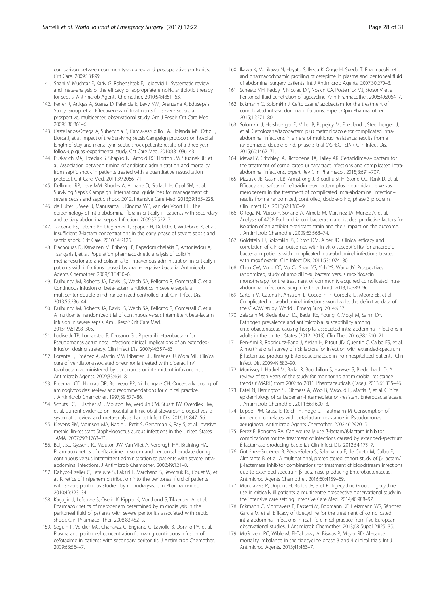<span id="page-27-0"></span>comparison between community-acquired and postoperative peritonitis. Crit Care. 2009;13:R99.

- 141. Shani V, Muchtar E, Kariv G, Robenshtok E, Leibovici L. Systematic review and meta-analysis of the efficacy of appropriate empiric antibiotic therapy for sepsis. Antimicrob Agents Chemother. 2010;54:4851–63.
- 142. Ferrer R, Artigas A, Suarez D, Palencia E, Levy MM, Arenzana A, Edusepsis Study Group, et al. Effectiveness of treatments for severe sepsis: a prospective, multicenter, observational study. Am J Respir Crit Care Med. 2009;180:861–6.
- 143. Castellanos-Ortega A, Suberviola B, García-Astudillo LA, Holanda MS, Ortiz F, Llorca J, et al. Impact of the Surviving Sepsis Campaign protocols on hospital length of stay and mortality in septic shock patients: results of a three-year follow-up quasi-experimental study. Crit Care Med. 2010;38:1036–43.
- 144. Puskarich MA, Trzeciak S, Shapiro NI, Arnold RC, Horton JM, Studnek JR, et al. Association between timing of antibiotic administration and mortality from septic shock in patients treated with a quantitative resuscitation protocol. Crit Care Med. 2011;39:2066–71.
- 145. Dellinger RP, Levy MM, Rhodes A, Annane D, Gerlach H, Opal SM, et al. Surviving Sepsis Campaign: international guidelines for management of severe sepsis and septic shock, 2012. Intensive Care Med. 2013;39:165–228.
- 146. de Ruiter J, Weel J, Manusama E, Kingma WP, Van der Voort PH. The epidemiology of intra-abdominal flora in critically ill patients with secondary and tertiary abdominal sepsis. Infection. 2009;37:522–7.
- 147. Taccone FS, Laterre PF, Dugernier T, Spapen H, Delattre I, Wittebole X, et al. Insufficient β-lactam concentrations in the early phase of severe sepsis and septic shock. Crit Care. 2010;14:R126.
- 148. Plachouras D, Karvanen M, Friberg LE, Papadomichelakis E, Antoniadou A, Tsangaris I, et al. Population pharmacokinetic analysis of colistin methanesulfonate and colistin after intravenous administration in critically ill patients with infections caused by gram-negative bacteria. Antimicrob Agents Chemother. 2009;53:3430–6.
- 149. Dulhunty JM, Roberts JA, Davis JS, Webb SA, Bellomo R, Gomersall C, et al. Continuous infusion of beta-lactam antibiotics in severe sepsis: a multicenter double-blind, randomized controlled trial. Clin Infect Dis. 2013;56:236–44.
- 150. Dulhunty JM, Roberts JA, Davis JS, Webb SA, Bellomo R, Gomersall C, et al. A multicenter randomized trial of continuous versus intermittent beta-lactam infusion in severe sepsis. Am J Respir Crit Care Med. 2015;192:1298–305.
- 151. Lodise Jr TP, Lomaestro B, Drusano GL. Piperacillin-tazobactam for Pseudomonas aeruginosa infection: clinical implications of an extendedinfusion dosing strategy. Clin Infect Dis. 2007;44:357–63.
- 152. Lorente L, Jiménez A, Martín MM, Iribarren JL, Jiménez JJ, Mora ML. Clinical cure of ventilator-associated pneumonia treated with piperacillin/ tazobactam administered by continuous or intermittent infusion. Int J Antimicrob Agents. 2009;33:464–8.
- 153. Freeman CD, Nicolau DP, Belliveau PP, Nightingale CH. Once-daily dosing of aminoglycosides: review and recommendations for clinical practice. J Antimicrob Chemother. 1997;39:677–86.
- 154. Schuts EC, Hulscher ME, Mouton JW, Verduin CM, Stuart JW, Overdiek HW, et al. Current evidence on hospital antimicrobial stewardship objectives: a systematic review and meta-analysis. Lancet Infect Dis. 2016;16:847–56.
- 155. Klevens RM, Morrison MA, Nadle J, Petit S, Gershman K, Ray S, et al. Invasive methicillin-resistant Staphylococcus aureus infections in the United States. JAMA. 2007;298:1763–71.
- 156. Buijk SL, Gyssens IC, Mouton JW, Van Vliet A, Verbrugh HA, Bruining HA. Pharmacokinetics of ceftazidime in serum and peritoneal exudate during continuous versus intermittent administration to patients with severe intraabdominal infections. J Antimicrob Chemother. 2002;49:121–8.
- 157. Dahyot-Fizelier C, Lefeuvre S, Laksiri L, Marchand S, Sawchuk RJ, Couet W, et al. Kinetics of imipenem distribution into the peritoneal fluid of patients with severe peritonitis studied by microdialysis. Clin Pharmacokinet. 2010;49:323–34.
- 158. Karjagin J, Lefeuvre S, Oselin K, Kipper K, Marchand S, Tikkerberi A, et al. Pharmacokinetics of meropenem determined by microdialysis in the peritoneal fluid of patients with severe peritonitis associated with septic shock. Clin Pharmacol Ther. 2008;83:452–9.
- 159. Seguin P, Verdier MC, Chanavaz C, Engrand C, Laviolle B, Donnio PY, et al. Plasma and peritoneal concentration following continuous infusion of cefotaxime in patients with secondary peritonitis. J Antimicrob Chemother. 2009;63:564–7.
- 160. Ikawa K, Morikawa N, Hayato S, Ikeda K, Ohge H, Sueda T. Pharmacokinetic and pharmacodynamic profiling of cefepime in plasma and peritoneal fluid of abdominal surgery patients. Int J Antimicrob Agents. 2007;30:270–3.
- 161. Scheetz MH, Reddy P, Nicolau DP, Noskin GA, Postelnick MJ, Stosor V, et al. Peritoneal fluid penetration of tigecycline. Ann Pharmacother. 2006;40:2064–7.
- 162. Eckmann C, Solomkin J. Ceftolozane/tazobactam for the treatment of complicated intra-abdominal infections. Expert Opin Pharmacother. 2015;16:271–80.
- 163. Solomkin J, Hershberger E, Miller B, Popejoy M, Friedland I, Steenbergen J, et al. Ceftolozane/tazobactam plus metronidazole for complicated intraabdominal infections in an era of multidrug resistance: results from a randomized, double-blind, phase 3 trial (ASPECT-cIAI). Clin Infect Dis. 2015;60:1462–71.
- 164. Mawal Y, Critchley IA, Riccobene TA, Talley AK. Ceftazidime-avibactam for the treatment of complicated urinary tract infections and complicated intraabdominal infections. Expert Rev Clin Pharmacol. 2015;8:691–707.
- 165. Mazuski JE, Gasink LB, Armstrong J, Broadhurst H, Stone GG, Rank D, et al. Efficacy and safety of ceftazidime-avibactam plus metronidazole versus meropenem in the treatment of complicated intra-abdominal infection– results from a randomized, controlled, double-blind, phase 3 program. Clin Infect Dis. 2016;62:1380–9.
- 166. Ortega M, Marco F, Soriano A, Almela M, Martínez JA, Muñoz A, et al. Analysis of 4758 Escherichia coli bacteraemia episodes: predictive factors for isolation of an antibiotic-resistant strain and their impact on the outcome. J Antimicrob Chemother. 2009;63:568–74.
- 167. Goldstein EJ, Solomkin JS, Citron DM, Alder JD, Clinical efficacy and correlation of clinical outcomes with in vitro susceptibility for anaerobic bacteria in patients with complicated intra-abdominal infections treated with moxifloxacin. Clin Infect Dis. 2011;53:1074–80.
- 168. Chen CW, Ming CC, Ma CJ, Shan YS, Yeh YS, Wang JY. Prospective, randomized, study of ampicillin-sulbactam versus moxifloxacin monotherapy for the treatment of community-acquired complicated intraabdominal infections. Surg Infect (Larchmt). 2013;14:389–96.
- 169. Sartelli M, Catena F, Ansaloni L, Coccolini F, Corbella D, Moore EE, et al. Complicated intra-abdominal infections worldwide: the definitive data of the CIAOW study. World J Emerg Surg. 2014;9:37.
- 170. Zalacain M, Biedenbach DJ, Badal RE, Young K, Motyl M, Sahm DF. Pathogen prevalence and antimicrobial susceptibility among enterobacteriaceae causing hospital-associated intra-abdominal infections in adults in the United States (2012–2013). Clin Ther. 2016;38:1510–21.
- 171. Ben-Ami R, Rodriguez-Bano J, Arsian H, Pitout JD, Quentin C, Calbo ES, et al. A multinational survey of risk factors for infection with extended-spectrum β-lactamase-producing Enterobacteriaceae in non-hospitalized patients. Clin Infect Dis. 2009;49:682–90.
- 172. Morrissey I, Hackel M, Badal R, Bouchillon S, Hawser S, Biedenbach D. A review of ten years of the study for monitoring antimicrobial resistance trends (SMART) from 2002 to 2011. Pharmaceuticals (Basel). 2013;6:1335–46.
- 173. Patel N, Harrington S, Dihmess A, Woo B, Masoud R, Martis P, et al. Clinical epidemiology of carbapenem-intermediate or -resistant Enterobacteriaceae. J Antimicrob Chemother. 2011;66:1600–8.
- 174. Lepper PM, Grusa E, Reichl H, Högel J, Trautmann M. Consumption of imipenem correlates with beta-lactam resistance in Pseudomonas aeruginosa. Antimicrob Agents Chemother. 2002;46:2920–5.
- 175. Perez F, Bonomo RA. Can we really use ß-lactam/ß-lactam inhibitor combinations for the treatment of infections caused by extended-spectrum ß-lactamase-producing bacteria? Clin Infect Dis. 2012;54:175–7.
- 176. Gutiérrez-Gutiérrez B, Pérez-Galera S, Salamanca E, de Cueto M, Calbo E, Almirante B, et al. A multinational, preregistered cohort study of β-Lactam/ β-lactamase inhibitor combinations for treatment of bloodstream infections due to extended-spectrum-β-lactamase-producing Enterobacteriaceae. Antimicrob Agents Chemother. 2016;60:4159–69.
- 177. Montravers P, Dupont H, Bedos JP, Bret P, Tigecycline Group. Tigecycline use in critically ill patients: a multicentre prospective observational study in the intensive care setting. Intensive Care Med. 2014;40:988–97.
- 178. Eckmann C, Montravers P, Bassetti M, Bodmann KF, Heizmann WR, Sánchez García M, et al. Efficacy of tigecycline for the treatment of complicated intra-abdominal infections in real-life clinical practice from five European observational studies. J Antimicrob Chemother. 2013;68 Suppl 2:ii25–35.
- 179. McGovern PC, Wible M, El-Tahtawy A, Biswas P, Meyer RD. All-cause mortality imbalance in the tigecycline phase 3 and 4 clinical trials. Int J Antimicrob Agents. 2013;41:463–7.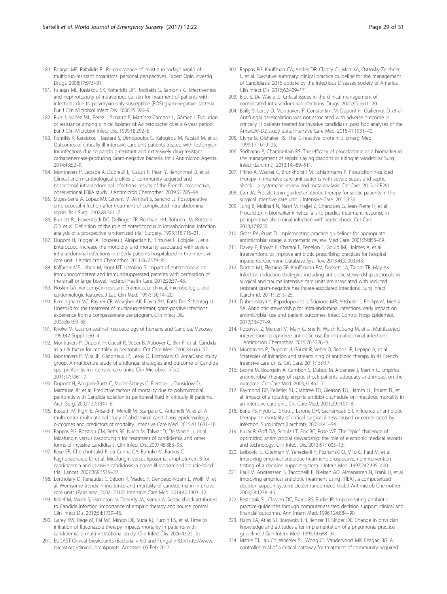- <span id="page-28-0"></span>180. Falagas ME, Rafailidis PI. Re-emergence of colistin in today's world of multidrug-resistant organisms: personal perspectives. Expert Opin Investig Drugs. 2008;17:973–81.
- 181. Falagas ME, Kasiakou SK, Kofteridis DP, Roditakis G, Samonis G. Effectiveness and nephrotoxicity of intravenous colistin for treatment of patients with infections due to polymyxin-only-susceptible (POS) gram-negative bacteria. Eur J Clin Microbiol Infect Dis. 2006;25:596–9.
- 182. Ruiz J, Núñez ML, Pérez J, Simarro E, Martínez-Campos L, Gómez J. Evolution of resistance among clinical isolates of Acinetobacter over a 6-year period. Eur J Clin Microbiol Infect Dis. 1999;18:292–5.
- 183. Pontikis K, Karaiskos I, Bastani S, Dimopoulos G, Kalogirou M, Katsiari M, et al. Outcomes of critically ill intensive care unit patients treated with fosfomycin for infections due to pandrug-resistant and extensively drug-resistant carbapenemase-producing Gram-negative bacteria. Int J Antimicrob Agents. 2014;43:52–9.
- 184. Montravers P, Lepape A, Dubreuil L, Gauzit R, Pean Y, Benchimol D, et al. Clinical and microbiological profiles of community-acquired and nosocomial intra-abdominal infections: results of the French prospective, observational EBIIA study. J Antimicrob Chemother. 2009;63:785–94.
- 185. Sitges-Serra A, Lopez MJ, Girvent M, Almirall S, Sancho JJ. Postoperative enterococcal infection after treatment of complicated intra-abdominal sepsis. Br J Surg. 2002;89:361–7.
- 186. Burnett RJ, Haverstock DC, Dellinger EP, Reinhart HH, Bohnen JM, Rotstein OD, et al. Definition of the role of enterococcus in intraabdominal infection: analysis of a prospective randomized trial. Surgery. 1995;118:716–21.
- 187. Dupont H, Friggeri A, Touzeau J, Airapetian N, Tinturier F, Lobjoie E, et al. Enterococci increase the morbidity and mortality associated with severe intra-abdominal infections in elderly patients hospitalized in the intensive care unit. J Antimicrob Chemother. 2011;66:2379–85.
- 188. Kaffarnik MF, Urban M, Hopt UT, Utzolino S. Impact of enterococcus on immunocompetent and immunosuppressed patients with perforation of the small or large bowel. Technol Health Care. 2012;20:37–48.
- 189. Noskin GA. Vancomycin-resistant Enterococci: clinical, microbiologic, and epidemiologic features. J Lab Clin Med. 1997;130:14–20.
- 190. Birmingham MC, Rayner CR, Meagher AK, Flavin SM, Batts DH, Schentag JJ. Linezolid for the treatment of multidrug-resistant, gram-positive infections: experience from a compassionate-use program. Clin Infect Dis. 2003;36:159–68.
- 191. Knoke M. Gastrointestinal microecology of humans and Candida. Mycoses. 1999;42 Suppl 1:30–4.
- 192. Montravers P, Dupont H, Gauzit R, Veber B, Auboyer C, Blin P, et al. Candida as a risk factor for mortality in peritonitis. Crit Care Med. 2006;34:646–52.
- 193. Montravers P, Mira JP, Gangneux JP, Leroy O, Lortholary O, AmarCand study group. A multicentre study of antifungal strategies and outcome of Candida spp. peritonitis in intensive-care units. Clin Microbiol Infect. 2011;17:1061–7.
- 194. Dupont H, Paugam-Burtz C, Muller-Serieys C, Fierobe L, Chosidow D, Marmuse JP, et al. Predictive factors of mortality due to polymicrobial peritonitis with Candida isolation in peritoneal fluid in critically ill patients. Arch Surg. 2002;137:1341–6.
- 195. Bassetti M, Righi E, Ansaldi F, Merelli M, Scarparo C, Antonelli M, et al. A multicenter multinational study of abdominal candidiasis: epidemiology, outcomes and predictors of mortality. Intensive Care Med. 2015;41:1601–10.
- 196. Pappas PG, Rotstein CM, Betts RF, Nucci M, Talwar D, De Waele JJ, et al. Micafungin versus caspofungin for treatment of candidemia and other forms of invasive candidiasis. Clin Infect Dis. 2007;45:883–93.
- 197. Kuse ER, Chetchotisakd P, da Cunha CA, Ruhnke M, Barrios C, Raghunadharao D, et al. Micafungin versus liposomal amphotericin B for candidaemia and invasive candidosis: a phase III randomised double-blind trial. Lancet. 2007;369:1519–27.
- 198. Lortholary O, Renaudat C, Sitbon K, Madec Y, Denoeud-Ndam L, Wolff M, et al. Worrisome trends in incidence and mortality of candidemia in intensive care units (Paris area, 2002–2010). Intensive Care Med. 2014;40:1303–12.
- 199. Kollef M, Micek S, Hampton N, Doherty JA, Kumar A. Septic shock attributed to Candida infection: importance of empiric therapy and source control. Clin Infect Dis. 2012;54:1739–46.
- 200. Garey KW, Rege M, Pai MP, Mingo DE, Suda KJ, Turpin RS, et al. Time to initiation of fluconazole therapy impacts mortality in patients with candidemia: a multi-institutional study. Clin Infect Dis. 2006;43:25–31.
- 201. EUCAST Clinical breakpoints (Bacterial v 6.0 and Fungal v 8.0): [http://www.](http://www.eucast.org/clinical_breakpoints) [eucast.org/clinical\\_breakpoints](http://www.eucast.org/clinical_breakpoints). Accessed 05 Feb 2017.
- 202. Pappas PG, Kauffman CA, Andes DR, Clancy CJ, Marr KA, Ostrosky-Zeichner L, et al. Executive summary: clinical practice guideline for the management of Candidiasis: 2016 update by the Infectious Diseases Society of America. Clin Infect Dis. 2016;62:409–17.
- 203. Blot S, De Waele JJ. Critical issues in the clinical management of complicated intra-abdominal infections. Drugs. 2005;65:1611–20.
- 204. Bailly S, Leroy O, Montravers P, Constantin JM, Dupont H, Guillemot D, et al. Antifungal de-escalation was not associated with adverse outcome in critically ill patients treated for invasive candidiasis: post hoc analyses of the AmarCAND2 study data. Intensive Care Med. 2015;41:1931–40.
- 205. Clyne B, Olshaker JS. The C-reactive protein. J Emerg Med. 1999;17:1019–25.
- 206. Sridharan P, Chamberlain RS. The efficacy of procalcitonin as a biomarker in the management of sepsis: slaying dragons or tilting at windmills? Surg Infect (Larchmt). 2013;14:489–511.
- 207. Prkno A, Wacker C, Brunkhorst FM, Schlattmann P. Procalcitonin-guided therapy in intensive care unit patients with severe sepsis and septic shock—a systematic review and meta-analysis. Crit Care. 2013;17:R291.
- 208. Carr JA. Procalcitonin-guided antibiotic therapy for septic patients in the surgical intensive care unit. J Intensive Care. 2015;3:36.
- 209. Jung B, Molinari N, Nasri M, Hajjej Z, Chanques G, Jean-Pierre H, et al. Procalcitonin biomarker kinetics fails to predict treatment response in perioperative abdominal infection with septic shock. Crit Care. 2013;17:R255.
- 210. Gross PA, Pujat D. Implementing practice guidelines for appropriate antimicrobial usage: a systematic review. Med Care. 2001;39:II55–69.
- 211. Davey P, Brown E, Charani E, Fenelon L, Gould IM, Holmes A, et al. Interventions to improve antibiotic prescribing practices for hospital inpatients. Cochrane Database Syst Rev. 2013;4:CD003543.
- 212. Dortch MJ, Fleming SB, Kauffmann RM, Dossett LA, Talbot TR, May AK. Infection reduction strategies including antibiotic stewardship protocols in surgical and trauma intensive care units are associated with reduced resistant gram-negative healthcare-associated infections. Surg Infect (Larchmt). 2011;12:15–25.
- 213. Dubrovskaya Y, Papadopoulos J, Scipione MR, Altshuler J, Phillips M, Mehta SA. Antibiotic stewardship for intra-abdominal infections: early impact on antimicrobial use and patient outcomes. Infect Control Hosp Epidemiol. 2012;33:427–9.
- 214. Popovski Z, Mercuri M, Main C, Sne N, Walsh K, Sung M, et al. Multifaceted intervention to optimize antibiotic use for intra-abdominal infections. J Antimicrob Chemother. 2015;70:1226–9.
- 215. Montravers P, Dupont H, Gauzit R, Veber B, Bedos JP, Lepape A, et al. Strategies of initiation and streamlining of antibiotic therapy in 41 French intensive care units. Crit Care. 2011;15:R17.
- 216. Leone M, Bourgoin A, Cambon S, Dubuc M, Albanèse J, Martin C. Empirical antimicrobial therapy of septic shock patients: adequacy and impact on the outcome. Crit Care Med. 2003;31:462–7.
- 217. Raymond DP, Pelletier SJ, Crabtree TD, Gleason TG, Hamm LL, Pruett TL, et al. Impact of a rotating empiric antibiotic schedule on infectious mortality in an intensive care unit. Crit Care Med. 2001;29:1101–8.
- 218. Barie PS, Hydo LJ, Shou J, Larone DH, Eachempati SR. Influence of antibiotic therapy on mortality of critical surgical illness caused or complicated by infection. Surg Infect (Larchmt). 2005;6:41–54.
- 219. Kullar R, Goff DA, Schulz LT, Fox BC, Rose WE. The "epic" challenge of optimizing antimicrobial stewardship: the role of electronic medical records and technology. Clin Infect Dis. 2013;57:1005–13.
- 220. Leibovici L, Gitelman V, Yehezkelli Y, Poznanski O, Milo G, Paul M, et al. Improving empirical antibiotic treatment: prospective, nonintervention testing of a decision support system. J Intern Med. 1997;242:395–400.
- 221. Paul M, Andreassen S, Tacconelli E, Nielsen AD, Almanasreh N, Frank U, et al. Improving empirical antibiotic treatment using TREAT, a computerized decision support system: cluster randomized trial. J Antimicrob Chemother. 2006;58:1238–45.
- 222. Pestotnik SL, Classen DC, Evans RS, Burke JP. Implementing antibiotic practice guidelines through computer-assisted decision support: clinical and financial outcomes. Ann Intern Med. 1996;124:884–90.
- 223. Halm EA, Atlas SJ, Borowsky LH, Benzer TI, Singer DE. Change in physician knowledge and attitudes after implementation of a pneumonia practice guideline. J Gen Intern Med. 1999;14:688–94.
- 224. Marrie TJ, Lau CY, Wheeler SL, Wong CJ, Vandervoort MK, Feagan BG. A controlled trial of a critical pathway for treatment of community-acquired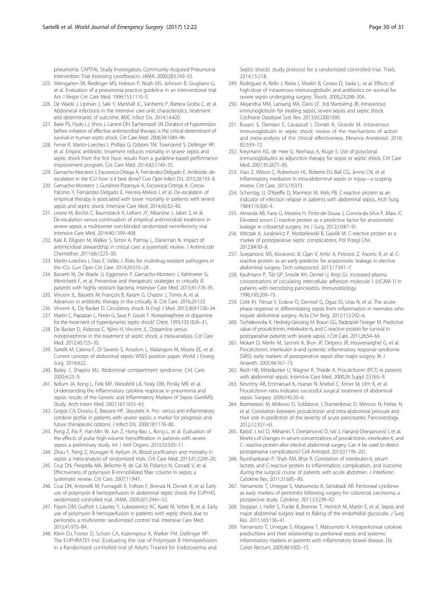<span id="page-29-0"></span>pneumonia. CAPITAL Study Investigators. Community-Acquired Pneumonia Intervention Trial Assessing Levofloxacin. JAMA. 2000;283:749–55.

- 225. Weingarten SR, Riedinger MS, Hobson P, Noah MS, Johnson B, Giugliano G, et al. Evaluation of a pneumonia practice guideline in an interventional trial. Am J Respir Crit Care Med. 1996;153:1110–5.
- 226. De Waele J, Lipman J, Sakr Y, Marshall JC, Vanhems P, Barrera Groba C, et al. Abdominal infections in the intensive care unit: characteristics, treatment and determinants of outcome. BMC Infect Dis. 2014;14:420.
- 227. Barie PS, Hydo LJ, Shou J, Larone DH, Eachempati SR. Duration of hypotension before initiation of effective antimicrobial therapy is the critical determinant of survival in human septic shock. Crit Care Med. 2006;34:1589–96.
- 228. Ferrer R, Martin-Loeches I, Phillips G, Osborn TM, Townsend S, Dellinger RP, et al. Empiric antibiotic treatment reduces mortality in severe sepsis and septic shock from the first hour: results from a guideline-based performance improvement program. Crit Care Med. 2014;42:1749–55.
- 229. Garnacho-Montero J, Escoresca-Ortega A, Fernández-Delgado E. Antibiotic deescalation in the ICU: how is it best done? Curr Opin Infect Dis. 2015;28:193–8.
- 230. Garnacho-Montero J, Gutiérrez-Pizarraya A, Escoresca-Ortega A, Corcia-Palomo Y, Fernández-Delgado E, Herrera-Melero I, et al. De-escalation of empirical therapy is associated with lower mortality in patients with severe sepsis and septic shock. Intensive Care Med. 2014;40:32–40.
- 231. Leone M, Bechis C, Baumstarck K, Lefrant JY, Albanèse J, Jaber S, et al. De-escalation versus continuation of empirical antimicrobial treatment in severe sepsis: a multicenter non-blinded randomized noninferiority trial. Intensive Care Med. 2014;40:1399–408.
- 232. Kaki R, Elligsen M, Walker S, Simor A, Palmay L, Daneman N. Impact of antimicrobial stewardship in critical care: a systematic review. J Antimicrob Chemother. 2011;66:1223–30.
- 233. Martín-Loeches I, Diaz E, Vallés J. Risks for multidrug-resistant pathogens in the ICU. Curr Opin Crit Care. 2014;20:516–24.
- 234. Bassetti M, De Waele JJ, Eggimann P, Garnacho-Montero J, Kahlmeter G, Menichetti F, et al. Preventive and therapeutic strategies in critically ill patients with highly resistant bacteria. Intensive Care Med. 2015;41:776–95.
- 235. Vincent JL, Bassetti M, François B, Karam G, Chastre J, Torres A, et al. Advances in antibiotic therapy in the critically ill. Crit Care. 2016;20:133.
- 236. Vincent JL, De Backer D. Circulatory shock. N Engl J Med. 2013;369:1726–34. 237. Martin C, Papazian L, Perrin G, Saux P, Gouin F. Norepinephrine or dopamine
- for the treatment of hyperdynamic septic shock? Chest. 1993;103:1826–31. 238. De Backer D, Aldecoa C, Njimi H, Vincent JL. Dopamine versus
- norepinephrine in the treatment of septic shock: a meta-analysis. Crit Care Med. 2012;40:725–30.
- 239. Sartelli M, Catena F, Di Saverio S, Ansaloni L, Malangoni M, Moore EE, et al. Current concept of abdominal sepsis: WSES position paper. World J Emerg Surg. 2014;9:22.
- 240. Bailey J, Shapiro MJ. Abdominal compartment syndrome. Crit Care. 2000;4:23–9.
- 241. Kellum JA, Kong L, Fink MP, Weissfeld LA, Yealy DM, Pinsky MR, et al. Understanding the inflammatory cytokine response in pneumonia and sepsis: results of the Genetic and Inflammatory Markers of Sepsis (GenIMS) Study. Arch Intern Med. 2007;167:1655–63.
- 242. Gogos CA, Drosou E, Bassaris HP, Skoutelis A. Pro- versus anti-inflammatory cytokine profile in patients with severe sepsis: a marker for prognosis and future therapeutic options. J Infect Dis. 2000;181:176–80.
- 243. Peng Z, Pai P, Han-Min W, Jun Z, Hong-Bao L, Rong L, et al. Evaluation of the effects of pulse high-volume hemofiltration in patients with severe sepsis: a preliminary study. Int J Artif Organs. 2010;33:505–11.
- 244. Zhou F, Peng Z, Murugan R, Kellum JA. Blood purification and mortality in sepsis: a meta-analysis of randomized trials. Crit Care Med. 2013;41:2209–20.
- 245. Cruz DN, Perazella MA, Bellomo R, de Cal M, Polanco N, Corradi V, et al. Effectiveness of polymyxin B-immobilized fiber column in sepsis: a systematic review. Crit Care. 2007;11:R47.
- 246. Cruz DN, Antonelli M, Fumagalli R, Foltran F, Brienza N, Donati A, et al. Early use of polymyxin B hemoperfusion in abdominal septic shock: the EUPHAS randomized controlled trial. JAMA. 2009;301:2445–52.
- 247. Payen DM, Guilhot J, Launey Y, Lukaszewicz AC, Kaaki M, Veber B, et al. Early use of polymyxin B hemoperfusion in patients with septic shock due to peritonitis: a multicenter randomized control trial. Intensive Care Med. 2015;41:975–84.
- 248. Klein DJ, Foster D, Schorr CA, Kazempour K, Walker PM, Dellinger RP. The EUPHRATES trial (Evaluating the Use of Polymyxin B Hemoperfusion in a Randomized controlled trial of Adults Treated for Endotoxemia and

Septic shock): study protocol for a randomized controlled trial. Trials. 2014;15:218.

- 249. Rodríguez A, Rello J, Neira J, Maskin B, Ceraso D, Vasta L, et al. Effects of high-dose of intravenous immunoglobulin and antibiotics on survival for severe sepsis undergoing surgery. Shock. 2005;23:298–304.
- 250. Alejandria MM, Lansang MA, Dans LF, 3rd Mantaring JB. Intravenous immunoglobulin for treating sepsis, severe sepsis and septic shock. Cochrane Database Syst Rev. 2013;9:CD001090.
- 251. Busani S, Damiani E, Cavazzuti I, Donati A, Girardis M. Intravenous immunoglobulin in septic shock: review of the mechanisms of action and meta-analysis of the clinical effectiveness. Minerva Anestesiol. 2016; 82:559–72.
- 252. Kreymann KG, de Heer G, Nierhaus A, Kluge S. Use of polyclonal immunoglobulins as adjunctive therapy for sepsis or septic shock. Crit Care Med. 2007;35:2677–85.
- 253. Xiao Z, Wilson C, Robertson HL, Roberts DJ, Ball CG, Jenne CN, et al. Inflammatory mediators in intra-abdominal sepsis or injury—a scoping review. Crit Care. 2015;19:373.
- 254. Schentag JJ, O'Keeffe D, Marmion M, Wels PB. C-reactive protein as an indicator of infection relapse in patients with abdominal sepsis. Arch Surg. 1984;119:300–4.
- 255. Almeida AB, Faria G, Moreira H, Pinto-de-Sousa J, Correia-da-Silva P, Maia JC. Elevated serum C-reactive protein as a predictive factor for anastomotic leakage in colorectal surgery. Int J Surg. 2012;10:87–91.
- 256. Witczak A, Juralowicz P, Modzelewski B, Gawlik M. C-reactive protein as a marker of postoperative septic complications. Pol Przegl Chir. 2012;84:93–8.
- 257. Scepanovic MS, Kovacevic B, Cijan V, Antic A, Petrovic Z, Asceric R, et al. Creactive protein as an early predictor for anastomotic leakage in elective abdominal surgery. Tech coloproctol. 2013;17:541–7.
- 258. Kaufmann P, Tilz GP, Smolle KH, Demel U, Krejs GJ. Increased plasma concentrations of circulating intercellular adhesion molecule-1 (cICAM-1) in patients with necrotizing pancreatitis. Immunobiology. 1996;195:209–19.
- 259. Celik IH, Yilmaz Y, Erdeve O, Demirel G, Oguz SS, Uras N, et al. The acutephase response in differentiating sepsis from inflammation in neonates who require abdominal surgery. Acta Chir Belg. 2012;112:292–6.
- 260. Tschaikowsky K, Hedwig-Geissing M, Braun GG, Radespiel-Troeger M. Predictive value of procalcitonin, interleukin-6, and C-reactive protein for survival in postoperative patients with severe sepsis. J Crit Care. 2011;26:54–64.
- 261. Mokart D, Merlin M, Sannini A, Brun JP, Delpero JR, Houvenaeghel G, et al. Procalcitonin, interleukin 6 and systemic inflammatory response syndrome (SIRS): early markers of postoperative sepsis after major surgery. Br J Anaesth. 2005;94:767–73.
- 262. Reith HB, Mittelkotter U, Wagner R, Thiede A. Procalcitonin (PCT) in patients with abdominal sepsis. Intensive Care Med. 2000;26 Suppl 2:S165–9.
- 263. Novotny AR, Emmanuel K, Hueser N, Knebel C, Kriner M, Ulm K, et al. Procalcitonin ratio indicates successful surgical treatment of abdominal sepsis. Surgery. 2009;145:20–6.
- 264. Bezmarevic M, Mirkovic D, Soldatovic I, Stamenkovic D, Mitrovic N, Perisic N, et al. Correlation between procalcitonin and intra-abdominal pressure and their role in prediction of the severity of acute pancreatitis. Pancreatology. 2012;12:337–43.
- 265. Barbić J, Ivić D, Alkhamis T, Drenjancević D, Ivić J, Harsanji-Drenjancević I, et al. Kinetics of changes in serum concentrations of procalcitonin, interleukin-6, and C- reactive protein after elective abdominal surgery. Can it be used to detect postoperative complications? Coll Antropol. 2013;37:195–201.
- 266. Ravishankaran P, Shah AM, Bhat R. Correlation of interleukin-6, serum lactate, and C-reactive protein to inflammation, complication, and outcome during the surgical course of patients with acute abdomen. J Interferon Cytokine Res. 2011;31:685–90.
- 267. Yamamoto T, Umegae S, Matsumoto K, Saniabadi AR. Peritoneal cytokines as early markers of peritonitis following surgery for colorectal carcinoma: a prospective study. Cytokine. 2011;53:239–42.
- 268. Steppan J, Hofer S, Funke B, Brenner T, Henrich M, Martin E, et al. Sepsis and major abdominal surgery lead to flaking of the endothelial glycocalix. J Surg Res. 2011;165:136–41.
- 269. Yamamoto T, Umegae S, Kitagawa T, Matsumoto K. Intraperitoneal cytokine productions and their relationship to peritoneal sepsis and systemic inflammatory markers in patients with inflammatory bowel disease. Dis Colon Rectum. 2005;48:1005–15.